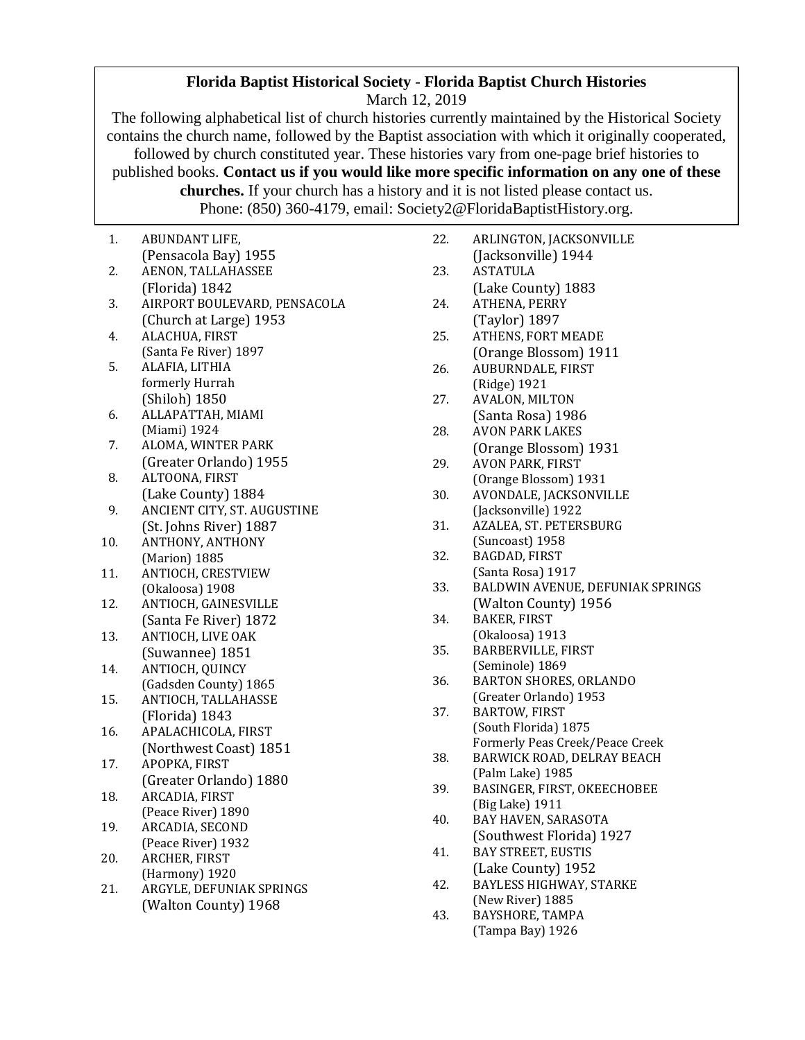## **Florida Baptist Historical Society - Florida Baptist Church Histories**

March 12, 2019

The following alphabetical list of church histories currently maintained by the Historical Society contains the church name, followed by the Baptist association with which it originally cooperated, followed by church constituted year. These histories vary from one-page brief histories to published books. **Contact us if you would like more specific information on any one of these churches.** If your church has a history and it is not listed please contact us. Phone: (850) 360-4179, email: Soc

1. ABUNDANT LIFE, (Pensacola Bay) 1955 2. AENON, TALLAHASSEE (Florida) 1842 3. AIRPORT BOULEVARD, PENSACOLA (Church at Large) 1953 4. ALACHUA, FIRST (Santa Fe River) 1897 5. ALAFIA, LITHIA formerly Hurrah (Shiloh) 1850 6. ALLAPATTAH, MIAMI (Miami) 1924 7. ALOMA, WINTER PARK (Greater Orlando) 1955 8. ALTOONA, FIRST (Lake County) 1884 9. ANCIENT CITY, ST. AUGUSTINE (St. Johns River) 1887 10. ANTHONY, ANTHONY (Marion) 1885 11. ANTIOCH, CRESTVIEW (Okaloosa) 1908 12. ANTIOCH, GAINESVILLE (Santa Fe River) 1872 13. ANTIOCH, LIVE OAK (Suwannee) 1851 14. ANTIOCH, QUINCY (Gadsden County) 1865 15. ANTIOCH, TALLAHASSE (Florida) 1843 16. APALACHICOLA, FIRST (Northwest Coast) 1851 17. APOPKA, FIRST (Greater Orlando) 1880 18. ARCADIA, FIRST (Peace River) 1890 19. ARCADIA, SECOND (Peace River) 1932 20. ARCHER, FIRST (Harmony) 1920 21. ARGYLE, DEFUNIAK SPRINGS (Walton County) 1968

|     | :iety2@FloridaBaptistHistory.org.                     |
|-----|-------------------------------------------------------|
| 22. | ARLINGTON, JACKSONVILLE                               |
|     | (Jacksonville) 1944                                   |
| 23. | ASTATULA                                              |
|     | (Lake County) 1883                                    |
| 24. | ATHENA, PERRY                                         |
|     | (Taylor) 1897                                         |
| 25. | ATHENS, FORT MEADE                                    |
|     | (Orange Blossom) 1911                                 |
| 26. | AUBURNDALE, FIRST                                     |
|     | (Ridge) 1921                                          |
| 27. | AVALON, MILTON                                        |
|     | (Santa Rosa) 1986                                     |
| 28. | <b>AVON PARK LAKES</b>                                |
|     | (Orange Blossom) 1931                                 |
| 29. | <b>AVON PARK, FIRST</b>                               |
|     | (Orange Blossom) 1931                                 |
| 30. | AVONDALE, JACKSONVILLE                                |
|     | (Jacksonville) 1922                                   |
| 31. | AZALEA, ST. PETERSBURG                                |
|     | (Suncoast) 1958                                       |
| 32. | BAGDAD, FIRST                                         |
| 33. | (Santa Rosa) 1917<br>BALDWIN AVENUE, DEFUNIAK SPRINGS |
|     | (Walton County) 1956                                  |
| 34. | <b>BAKER, FIRST</b>                                   |
|     | (Okaloosa) 1913                                       |
| 35. | <b>BARBERVILLE, FIRST</b>                             |
|     | (Seminole) 1869                                       |
| 36. | BARTON SHORES, ORLANDO                                |
|     | (Greater Orlando) 1953                                |
| 37. | <b>BARTOW, FIRST</b>                                  |
|     | (South Florida) 1875                                  |
|     | Formerly Peas Creek/Peace Creek                       |
| 38. | BARWICK ROAD, DELRAY BEACH                            |
|     | (Palm Lake) 1985                                      |
| 39  | <b>BASINGER, FIRST, OKEECHOBEE</b>                    |
|     | (Big Lake) 1911                                       |
| 40. | BAY HAVEN, SARASOTA                                   |
|     | (Southwest Florida) 1927                              |
| 41. | <b>BAY STREET, EUSTIS</b>                             |
|     | (Lake County) 1952                                    |
| 42. | BAYLESS HIGHWAY, STARKE                               |
| 43. | (New River) 1885                                      |
|     | BAYSHORE, TAMPA                                       |
|     | (Tampa Bay) 1926                                      |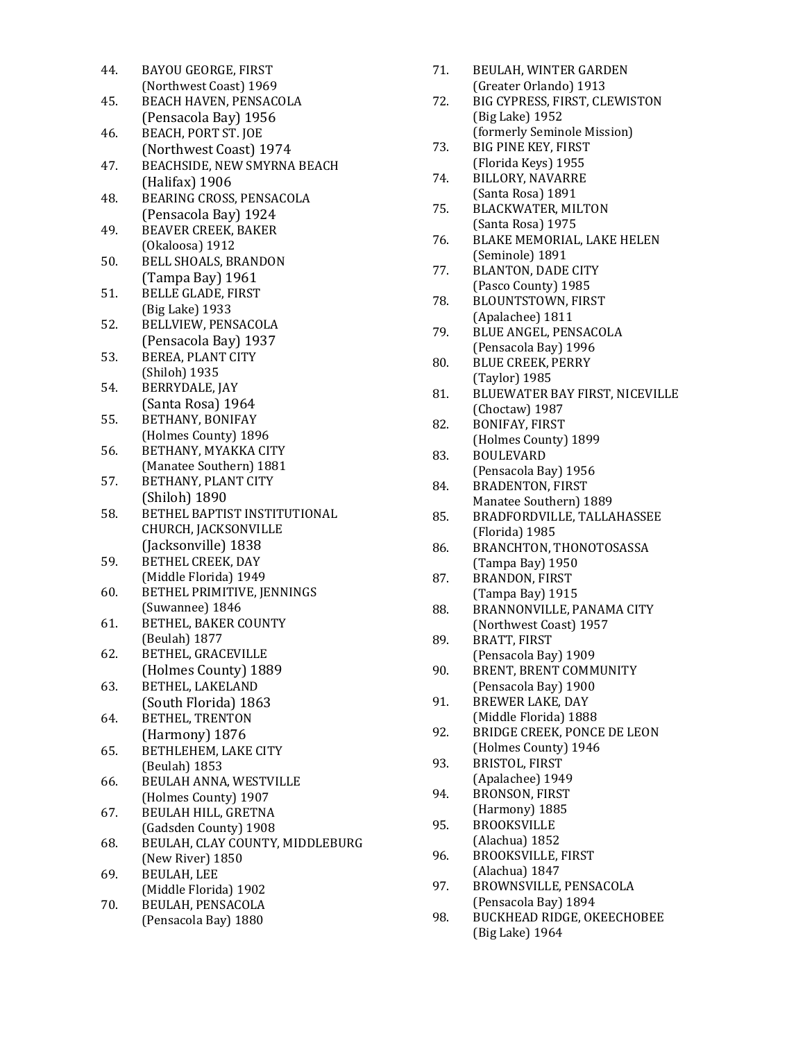| BEACHSIDE, NEW SMYRNA BEACH     |
|---------------------------------|
|                                 |
|                                 |
|                                 |
|                                 |
|                                 |
|                                 |
|                                 |
|                                 |
|                                 |
|                                 |
|                                 |
|                                 |
|                                 |
|                                 |
|                                 |
|                                 |
|                                 |
|                                 |
|                                 |
|                                 |
|                                 |
|                                 |
|                                 |
|                                 |
|                                 |
|                                 |
|                                 |
|                                 |
| BETHEL BAPTIST INSTITUTIONAL    |
|                                 |
|                                 |
|                                 |
|                                 |
|                                 |
|                                 |
|                                 |
|                                 |
|                                 |
|                                 |
|                                 |
|                                 |
|                                 |
|                                 |
|                                 |
|                                 |
|                                 |
|                                 |
|                                 |
|                                 |
| BEULAH, CLAY COUNTY, MIDDLEBURG |
|                                 |
|                                 |
|                                 |
|                                 |
|                                 |
|                                 |

- 71. BEULAH, WINTER GARDEN (Greater Orlando) 1913
- 72. BIG CYPRESS, FIRST, CLEWISTON (Big Lake) 1952 (formerly Seminole Mission)
- 73. BIG PINE KEY, FIRST (Florida Keys) 1955
- 74. BILLORY, NAVARRE (Santa Rosa) 1891
- 75. BLACKWATER, MILTON (Santa Rosa) 1975
- 76. BLAKE MEMORIAL, LAKE HELEN (Seminole) 1891
- 77. BLANTON, DADE CITY (Pasco County) 1985
- 78. BLOUNTSTOWN, FIRST (Apalachee) 1811
- 79. BLUE ANGEL, PENSACOLA (Pensacola Bay) 1996
- 80. BLUE CREEK, PERRY (Taylor) 1985
- 81. BLUEWATER BAY FIRST, NICEVILLE (Choctaw) 1987
- 82. BONIFAY, FIRST (Holmes County) 1899
- 83. BOULEVARD (Pensacola Bay) 1956 84. BRADENTON, FIRST
- Manatee Southern) 1889
- 85. BRADFORDVILLE, TALLAHASSEE (Florida) 1985
- 86. BRANCHTON, THONOTOSASSA (Tampa Bay) 1950
- 87. BRANDON, FIRST (Tampa Bay) 1915
- 88. BRANNONVILLE, PANAMA CITY (Northwest Coast) 1957
- 89. BRATT, FIRST (Pensacola Bay) 1909
- 90. BRENT, BRENT COMMUNITY (Pensacola Bay) 1900
- 91. BREWER LAKE, DAY (Middle Florida) 1888
- 92. BRIDGE CREEK, PONCE DE LEON (Holmes County) 1946
- 93. BRISTOL, FIRST (Apalachee) 1949
- 94. BRONSON, FIRST (Harmony) 1885
- 95. BROOKSVILLE (Alachua) 1852
- 96. BROOKSVILLE, FIRST (Alachua) 1847
- 97. BROWNSVILLE, PENSACOLA (Pensacola Bay) 1894
- 98. BUCKHEAD RIDGE, OKEECHOBEE (Big Lake) 1964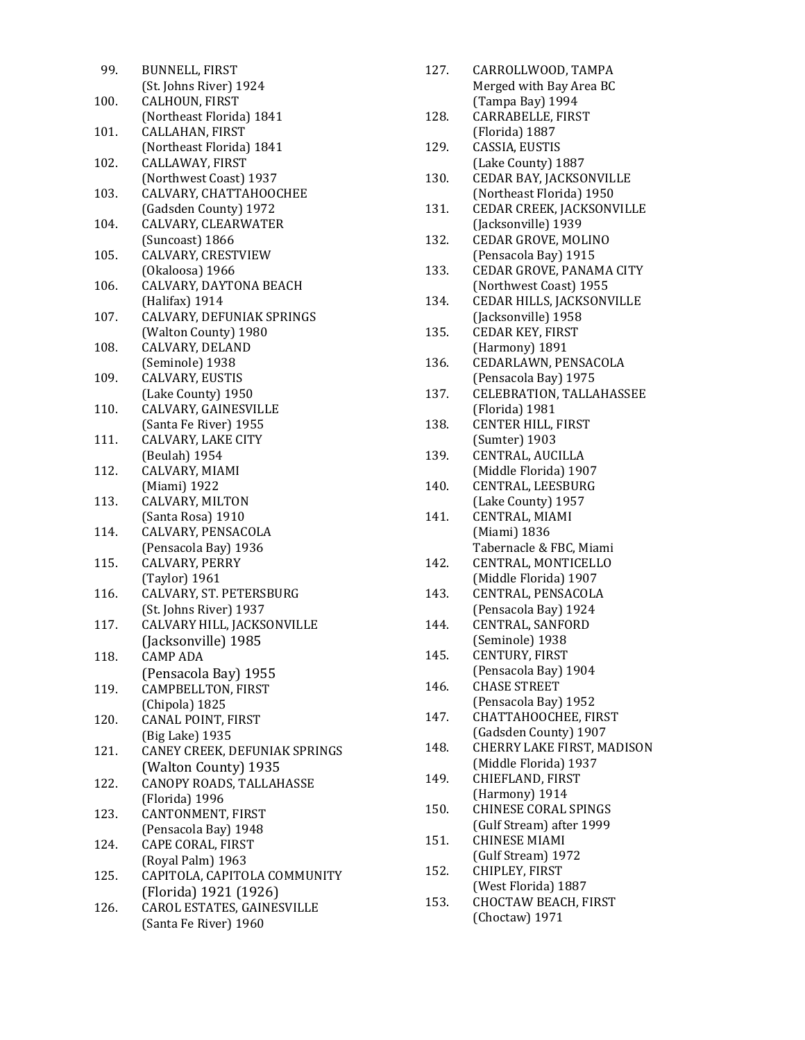| 99.  | <b>BUNNELL, FIRST</b>         |
|------|-------------------------------|
|      | (St. Johns River) 1924        |
| 100. | CALHOUN, FIRST                |
|      | (Northeast Florida) 1841      |
| 101. | CALLAHAN, FIRST               |
|      | (Northeast Florida) 1841      |
| 102. | CALLAWAY, FIRST               |
|      | (Northwest Coast) 1937        |
| 103. | CALVARY, CHATTAHOOCHEE        |
|      | (Gadsden County) 1972         |
| 104. | CALVARY, CLEARWATER           |
|      | (Suncoast) 1866               |
| 105. | CALVARY, CRESTVIEW            |
|      | (Okaloosa) 1966               |
| 106. | CALVARY, DAYTONA BEACH        |
|      | (Halifax) 1914                |
| 107. | CALVARY, DEFUNIAK SPRINGS     |
|      | (Walton County) 1980          |
| 108. | CALVARY, DELAND               |
|      | (Seminole) 1938               |
| 109. | CALVARY, EUSTIS               |
|      | (Lake County) 1950            |
| 110. | CALVARY, GAINESVILLE          |
|      | (Santa Fe River) 1955         |
| 111. | CALVARY, LAKE CITY            |
|      | (Beulah) 1954                 |
| 112. | CALVARY, MIAMI                |
|      | (Miami) 1922                  |
| 113. | CALVARY, MILTON               |
|      | (Santa Rosa) 1910             |
| 114. | CALVARY, PENSACOLA            |
|      | (Pensacola Bay) 1936          |
| 115. | CALVARY, PERRY                |
|      | (Taylor) 1961                 |
| 116. | CALVARY, ST. PETERSBURG       |
|      | (St. Johns River) 1937        |
| 117. | CALVARY HILL, JACKSONVILLE    |
|      | (Jacksonville) 1985           |
| 118. | CAMP ADA                      |
|      | (Pensacola Bay) 1955          |
| 119. | CAMPBELLTON, FIRST            |
|      | (Chipola) 1825                |
| 120. | CANAL POINT, FIRST            |
|      | (Big Lake) 1935               |
| 121. | CANEY CREEK, DEFUNIAK SPRINGS |
|      | (Walton County) 1935          |
| 122. | CANOPY ROADS, TALLAHASSE      |
|      | (Florida) 1996                |
| 123. | CANTONMENT, FIRST             |
|      | (Pensacola Bay) 1948          |
| 124. | CAPE CORAL, FIRST             |
|      | (Royal Palm) 1963             |
| 125. | CAPITOLA, CAPITOLA COMMUNITY  |
|      | (Florida) 1921 (1926)         |
| 126. | CAROL ESTATES, GAINESVILLE    |
|      | (Santa Fe River) 1960         |

| 127. | CARROLLWOOD, TAMPA<br>Merged with Bay Area BC       |
|------|-----------------------------------------------------|
| 128. | (Tampa Bay) 1994<br>CARRABELLE, FIRST               |
| 129. | (Florida) 1887<br>CASSIA, EUSTIS                    |
|      | (Lake County) 1887                                  |
| 130. | CEDAR BAY, JACKSONVILLE<br>(Northeast Florida) 1950 |
| 131. | CEDAR CREEK, JACKSONVILLE<br>(Jacksonville) 1939    |
| 132. | CEDAR GROVE, MOLINO<br>(Pensacola Bay) 1915         |
| 133. | CEDAR GROVE, PANAMA CITY<br>(Northwest Coast) 1955  |
| 134. | CEDAR HILLS, JACKSONVILLE                           |
| 135. | (Jacksonville) 1958<br><b>CEDAR KEY, FIRST</b>      |
| 136. | (Harmony) 1891<br>CEDARLAWN, PENSACOLA              |
|      | (Pensacola Bay) 1975                                |
| 137. | CELEBRATION, TALLAHASSEE                            |
|      | (Florida) 1981                                      |
| 138. | CENTER HILL, FIRST                                  |
|      | (Sumter) 1903                                       |
| 139. | CENTRAL, AUCILLA<br>(Middle Florida) 1907           |
| 140. | CENTRAL, LEESBURG                                   |
|      | (Lake County) 1957                                  |
| 141. | CENTRAL, MIAMI                                      |
|      | (Miami) 1836                                        |
|      | Tabernacle & FBC, Miami                             |
| 142. | CENTRAL, MONTICELLO                                 |
|      | (Middle Florida) 1907                               |
| 143. | CENTRAL, PENSACOLA<br>(Pensacola Bay) 1924          |
| 144. | CENTRAL, SANFORD                                    |
|      | (Seminole) 1938                                     |
| 145. | CENTURY, FIRST                                      |
|      | (Pensacola Bay) 1904                                |
| 146. | <b>CHASE STREET</b>                                 |
|      | (Pensacola Bay) 1952                                |
| 147. | CHATTAHOOCHEE, FIRST                                |
|      | (Gadsden County) 1907                               |
| 148. | CHERRY LAKE FIRST, MADISON                          |
| 149. | (Middle Florida) 1937<br>CHIEFLAND, FIRST           |
|      | (Harmony) 1914                                      |
| 150. | <b>CHINESE CORAL SPINGS</b>                         |
|      | (Gulf Stream) after 1999                            |
| 151. | <b>CHINESE MIAMI</b>                                |
|      | (Gulf Stream) 1972                                  |
| 152. | CHIPLEY, FIRST                                      |
|      | (West Florida) 1887                                 |
| 153. | CHOCTAW BEACH, FIRST                                |
|      | (Choctaw) 1971                                      |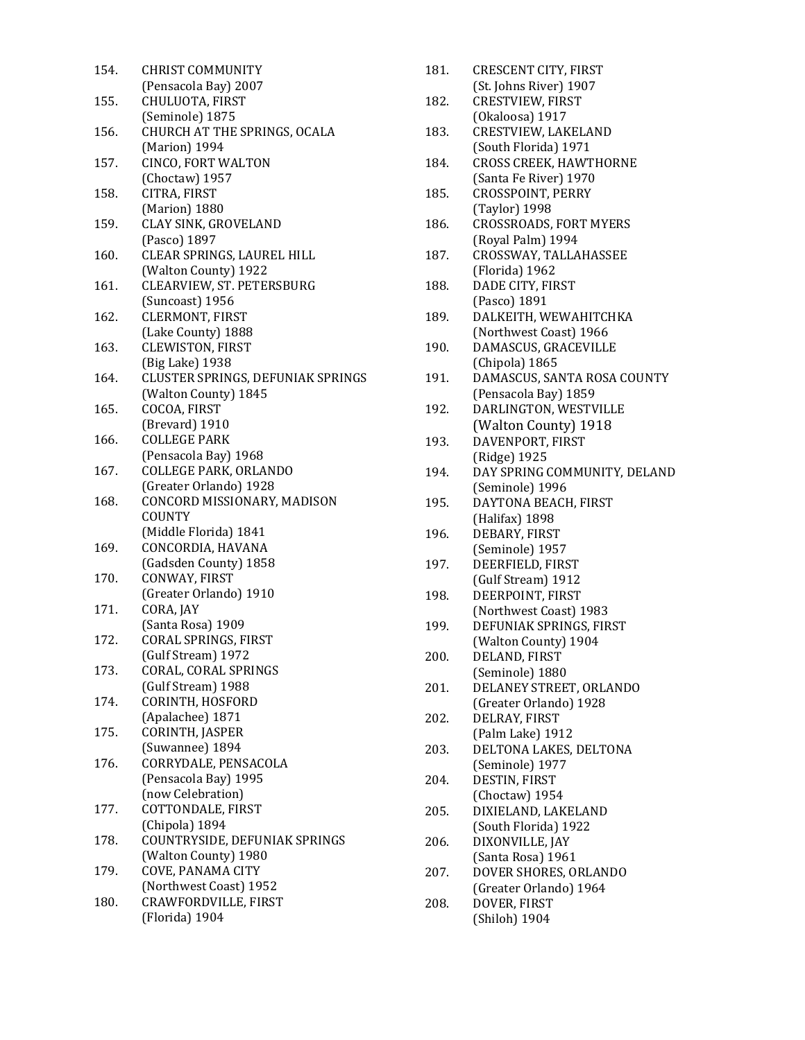| 154. | <b>CHRIST COMMUNITY</b>           |
|------|-----------------------------------|
|      | (Pensacola Bay) 2007              |
| 155. | CHULUOTA, FIRST                   |
|      | (Seminole) 1875                   |
| 156. | CHURCH AT THE SPRINGS, OCALA      |
|      | (Marion) 1994                     |
| 157. | CINCO, FORT WALTON                |
|      | (Choctaw) 1957                    |
|      |                                   |
| 158. | CITRA, FIRST                      |
|      | (Marion) 1880                     |
| 159. | CLAY SINK, GROVELAND              |
|      | (Pasco) 1897                      |
| 160. | CLEAR SPRINGS, LAUREL HILL        |
|      | (Walton County) 1922              |
| 161. | CLEARVIEW, ST. PETERSBURG         |
|      | (Suncoast) 1956                   |
| 162. | CLERMONT, FIRST                   |
|      | (Lake County) 1888                |
| 163. | <b>CLEWISTON, FIRST</b>           |
|      | (Big Lake) 1938                   |
| 164. | CLUSTER SPRINGS, DEFUNIAK SPRINGS |
|      |                                   |
|      | (Walton County) 1845              |
| 165. | COCOA, FIRST                      |
|      | (Brevard) 1910                    |
| 166. | <b>COLLEGE PARK</b>               |
|      | (Pensacola Bay) 1968              |
| 167. | COLLEGE PARK, ORLANDO             |
|      | (Greater Orlando) 1928            |
| 168. | CONCORD MISSIONARY, MADISON       |
|      | COUNTY                            |
|      | (Middle Florida) 1841             |
| 169. | CONCORDIA, HAVANA                 |
|      | (Gadsden County) 1858             |
| 170. | CONWAY, FIRST                     |
|      | (Greater Orlando) 1910            |
| 171. | CORA, JAY                         |
|      | (Santa Rosa) 1909                 |
| 172. | CORAL SPRINGS, FIRST              |
|      | (Gulf Stream) 1972                |
| 173. |                                   |
|      | CORAL, CORAL SPRINGS              |
|      | (Gulf Stream) 1988                |
| 174. | CORINTH, HOSFORD                  |
|      | (Apalachee) 1871                  |
| 175. | CORINTH, JASPER                   |
|      | (Suwannee) 1894                   |
| 176. | CORRYDALE, PENSACOLA              |
|      | (Pensacola Bay) 1995              |
|      | (now Celebration)                 |
| 177. | COTTONDALE, FIRST                 |
|      | (Chipola) 1894                    |
| 178. | COUNTRYSIDE, DEFUNIAK SPRINGS     |
|      | (Walton County) 1980              |
| 179. | COVE, PANAMA CITY                 |
|      | (Northwest Coast) 1952            |
| 180. | CRAWFORDVILLE, FIRST              |
|      | (Florida) 1904                    |
|      |                                   |

| 181.         | <b>CRESCENT CITY, FIRST</b>   |
|--------------|-------------------------------|
|              | (St. Johns River) 1907        |
| 182.         | CRESTVIEW, FIRST              |
|              | (Okaloosa) 1917               |
| 183.         | CRESTVIEW, LAKELAND           |
|              | (South Florida) 1971          |
| 184.         | <b>CROSS CREEK, HAWTHORNE</b> |
|              | (Santa Fe River) 1970         |
| 185.         | CROSSPOINT, PERRY             |
|              | (Taylor) 1998                 |
| 186.         | <b>CROSSROADS, FORT MYERS</b> |
|              | (Royal Palm) 1994             |
| 187.         | CROSSWAY, TALLAHASSEE         |
|              | (Florida) 1962                |
| 188.         | DADE CITY, FIRST              |
|              | (Pasco) 1891                  |
|              |                               |
| 189.         | DALKEITH, WEWAHITCHKA         |
|              | (Northwest Coast) 1966        |
| 190.         | DAMASCUS, GRACEVILLE          |
|              | (Chipola) 1865                |
| 191.         | DAMASCUS, SANTA ROSA COUNTY   |
|              | (Pensacola Bay) 1859          |
| 192.         | DARLINGTON, WESTVILLE         |
|              | (Walton County) 1918          |
| 193.         | DAVENPORT, FIRST              |
|              | (Ridge) 1925                  |
| 194.         | DAY SPRING COMMUNITY, DELAND  |
|              | (Seminole) 1996               |
| 195.         | DAYTONA BEACH, FIRST          |
|              | (Halifax) 1898                |
| 196.         | DEBARY, FIRST                 |
|              | (Seminole) 1957               |
| 197.         | DEERFIELD, FIRST              |
|              | (Gulf Stream) 1912            |
| 198.         | DEERPOINT, FIRST              |
|              | (Northwest Coast) 1983        |
| 199.         |                               |
|              |                               |
|              | DEFUNIAK SPRINGS, FIRST       |
|              | (Walton County) 1904          |
| 200.         | DELAND, FIRST                 |
|              | (Seminole) 1880               |
| 201.         | DELANEY STREET, ORLANDO       |
|              | (Greater Orlando) 1928        |
| 202.         | DELRAY, FIRST                 |
|              | (Palm Lake) 1912              |
| 203.         | DELTONA LAKES, DELTONA        |
|              | (Seminole) 1977               |
| 204.         | DESTIN, FIRST                 |
|              | (Choctaw) 1954                |
| 205.         | DIXIELAND, LAKELAND           |
|              | (South Florida) 1922          |
|              | DIXONVILLE, JAY               |
|              | (Santa Rosa) 1961             |
|              | DOVER SHORES, ORLANDO         |
| 206.<br>207. | (Greater Orlando) 1964        |
| 208.         | DOVER, FIRST<br>(Shiloh) 1904 |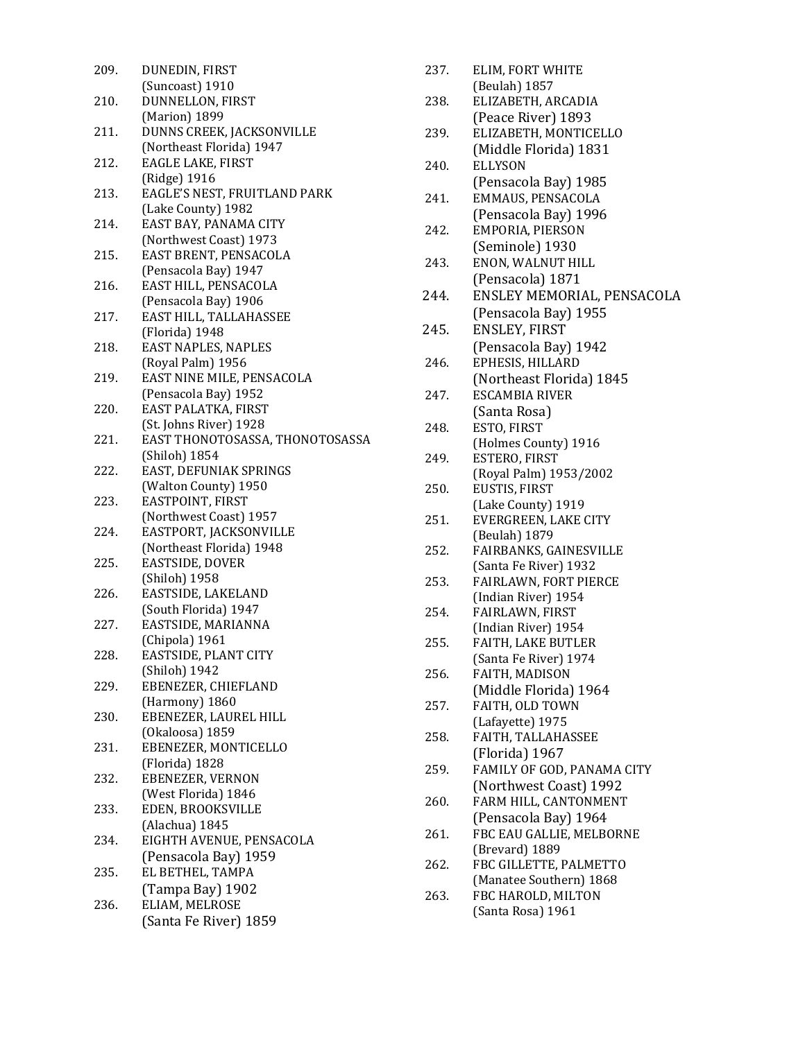| 209. | DUNEDIN, FIRST                           |
|------|------------------------------------------|
| 210. | (Suncoast) 1910<br>DUNNELLON, FIRST      |
|      | (Marion) 1899                            |
| 211. | DUNNS CREEK, JACKSONVILLE                |
|      | (Northeast Florida) 1947                 |
| 212. | EAGLE LAKE, FIRST                        |
|      | (Ridge) 1916                             |
| 213. | EAGLE'S NEST, FRUITLAND PARK             |
|      | (Lake County) 1982                       |
| 214. | EAST BAY, PANAMA CITY                    |
|      | (Northwest Coast) 1973                   |
| 215. | EAST BRENT, PENSACOLA                    |
|      | (Pensacola Bay) 1947                     |
| 216. | EAST HILL, PENSACOLA                     |
|      | (Pensacola Bay) 1906                     |
| 217. | EAST HILL, TALLAHASSEE                   |
|      | (Florida) 1948                           |
| 218. | EAST NAPLES, NAPLES                      |
|      | (Royal Palm) 1956                        |
| 219. | EAST NINE MILE, PENSACOLA                |
|      | (Pensacola Bay) 1952                     |
| 220. | EAST PALATKA, FIRST                      |
|      | (St. Johns River) 1928                   |
| 221. | EAST THONOTOSASSA, THONOTOSASSA          |
|      | (Shiloh) 1854                            |
| 222. | EAST, DEFUNIAK SPRINGS                   |
| 223. | (Walton County) 1950<br>EASTPOINT, FIRST |
|      | (Northwest Coast) 1957                   |
| 224. | EASTPORT, JACKSONVILLE                   |
|      | (Northeast Florida) 1948                 |
| 225. | EASTSIDE, DOVER                          |
|      | (Shiloh) 1958                            |
| 226. | EASTSIDE, LAKELAND                       |
|      | (South Florida) 1947                     |
| 227. | EASTSIDE, MARIANNA                       |
|      | (Chipola) 1961                           |
| 228. | EASTSIDE, PLANT CITY                     |
|      | (Shiloh) 1942                            |
| 229. | EBENEZER, CHIEFLAND                      |
|      | (Harmony) 1860                           |
| 230. | EBENEZER, LAUREL HILL                    |
|      | (Okaloosa) 1859                          |
| 231. | EBENEZER, MONTICELLO                     |
|      | (Florida) 1828                           |
| 232. | EBENEZER, VERNON                         |
|      | (West Florida) 1846                      |
| 233. | EDEN, BROOKSVILLE                        |
|      | (Alachua) 1845                           |
| 234. | EIGHTH AVENUE, PENSACOLA                 |
|      | (Pensacola Bay) 1959                     |
| 235. | EL BETHEL, TAMPA                         |
|      | (Tampa Bay) 1902                         |
| 236. | ELIAM, MELROSE                           |
|      | (Santa Fe River) 1859                    |
|      |                                          |

| 237. | ELIM, FORT WHITE                               |
|------|------------------------------------------------|
| 238. | (Beulah) 1857<br>ELIZABETH, ARCADIA            |
|      | (Peace River) 1893                             |
| 239. | ELIZABETH, MONTICELLO                          |
|      | (Middle Florida) 1831                          |
| 240. | <b>ELLYSON</b>                                 |
|      | (Pensacola Bay) 1985                           |
| 241. | EMMAUS, PENSACOLA                              |
|      | (Pensacola Bay) 1996                           |
| 242. | EMPORIA, PIERSON                               |
|      | (Seminole) 1930                                |
| 243. | ENON, WALNUT HILL<br>(Pensacola) 1871          |
| 244. | ENSLEY MEMORIAL, PENSACOLA                     |
|      | (Pensacola Bay) 1955                           |
| 245. | ENSLEY, FIRST                                  |
|      | (Pensacola Bay) 1942                           |
| 246. | EPHESIS, HILLARD                               |
|      | (Northeast Florida) 1845                       |
| 247. | <b>ESCAMBIA RIVER</b>                          |
|      | (Santa Rosa)                                   |
| 248. | ESTO, FIRST                                    |
|      | (Holmes County) 1916                           |
| 249. | ESTERO, FIRST<br>(Royal Palm) 1953/2002        |
| 250. | EUSTIS, FIRST                                  |
|      | (Lake County) 1919                             |
| 251. | EVERGREEN, LAKE CITY                           |
|      | (Beulah) 1879                                  |
| 252. | FAIRBANKS, GAINESVILLE                         |
| 253. | (Santa Fe River) 1932<br>FAIRLAWN, FORT PIERCE |
|      | (Indian River) 1954                            |
| 254. | FAIRLAWN, FIRST                                |
|      | (Indian River) 1954                            |
| 255. | FAITH, LAKE BUTLER                             |
|      | (Santa Fe River) 1974                          |
| 256. | FAITH, MADISON                                 |
| 257. | (Middle Florida) 1964<br>FAITH, OLD TOWN       |
|      | (Lafayette) 1975                               |
| 258. | FAITH, TALLAHASSEE                             |
|      | (Florida) 1967                                 |
| 259. | FAMILY OF GOD, PANAMA CITY                     |
|      | (Northwest Coast) 1992                         |
| 260. | FARM HILL, CANTONMENT                          |
|      | (Pensacola Bay) 1964                           |
| 261. | FBC EAU GALLIE, MELBORNE<br>(Brevard) 1889     |
| 262. | FBC GILLETTE, PALMETTO                         |
|      | (Manatee Southern) 1868                        |
| 263. | FBC HAROLD, MILTON                             |
|      | (Santa Rosa) 1961                              |
|      |                                                |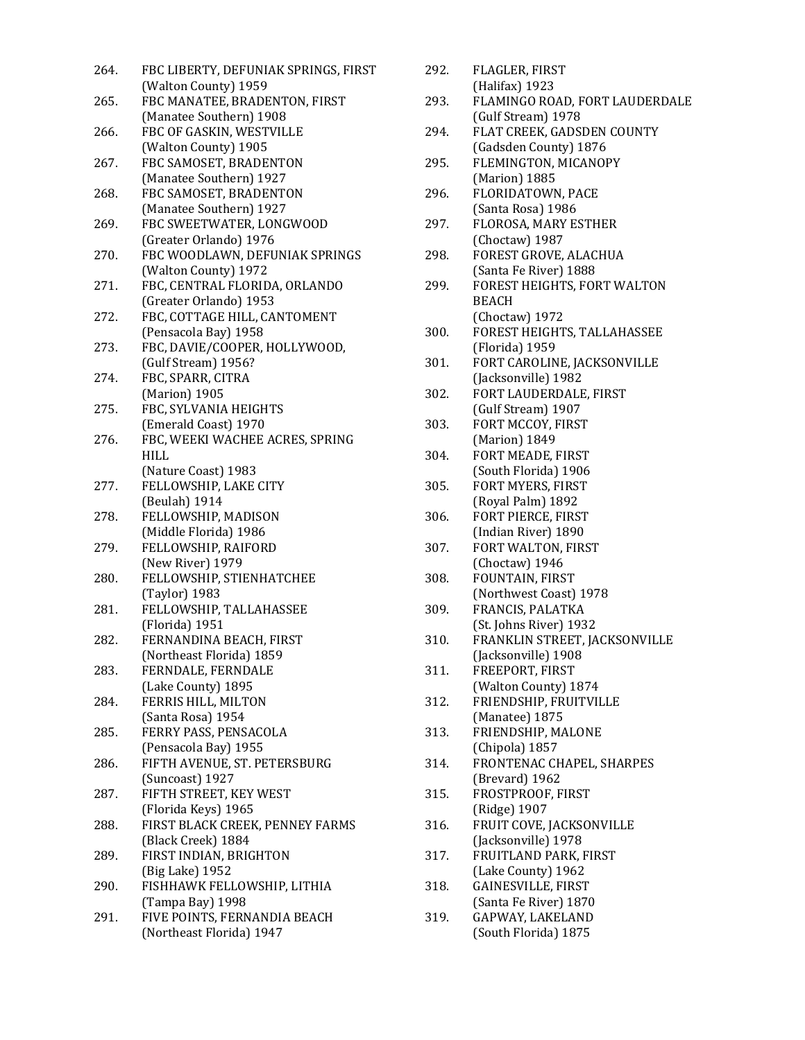| 264. | FBC LIBERTY, DEFUNIAK SPRINGS, FIRST |
|------|--------------------------------------|
|      | (Walton County) 1959                 |
| 265. | FBC MANATEE, BRADENTON, FIRST        |
|      | (Manatee Southern) 1908              |
| 266. | FBC OF GASKIN, WESTVILLE             |
|      | (Walton County) 1905                 |
| 267. | FBC SAMOSET, BRADENTON               |
|      | (Manatee Southern) 1927              |
| 268. | FBC SAMOSET, BRADENTON               |
|      | (Manatee Southern) 1927              |
| 269. | FBC SWEETWATER, LONGWOOD             |
|      | (Greater Orlando) 1976               |
| 270. | FBC WOODLAWN, DEFUNIAK SPRINGS       |
|      | (Walton County) 1972                 |
| 271. | FBC, CENTRAL FLORIDA, ORLANDO        |
|      | (Greater Orlando) 1953               |
| 272. | FBC, COTTAGE HILL, CANTOMENT         |
|      | (Pensacola Bay) 1958                 |
| 273. | FBC, DAVIE/COOPER, HOLLYWOOD,        |
|      | (Gulf Stream) 1956?                  |
| 274. | FBC, SPARR, CITRA                    |
|      | (Marion) 1905                        |
| 275. | FBC, SYLVANIA HEIGHTS                |
|      | (Emerald Coast) 1970                 |
| 276. | FBC, WEEKI WACHEE ACRES, SPRING      |
|      | HILL                                 |
|      | (Nature Coast) 1983                  |
| 277. | FELLOWSHIP, LAKE CITY                |
|      | (Beulah) 1914                        |
| 278. | FELLOWSHIP, MADISON                  |
|      | (Middle Florida) 1986                |
| 279. | FELLOWSHIP, RAIFORD                  |
|      | (New River) 1979                     |
| 280. | FELLOWSHIP, STIENHATCHEE             |
|      | (Taylor) 1983                        |
| 281. | FELLOWSHIP, TALLAHASSEE              |
|      | (Florida) 1951                       |
| 282. | FERNANDINA BEACH, FIRST              |
|      | (Northeast Florida) 1859             |
| 283. | FERNDALE, FERNDALE                   |
|      | (Lake County) 1895                   |
| 284. | FERRIS HILL, MILTON                  |
|      | (Santa Rosa) 1954                    |
| 285. | FERRY PASS, PENSACOLA                |
|      | (Pensacola Bay) 1955                 |
| 286. | FIFTH AVENUE, ST. PETERSBURG         |
|      | (Suncoast) 1927                      |
| 287. | FIFTH STREET, KEY WEST               |
|      | (Florida Keys) 1965                  |
| 288. | FIRST BLACK CREEK, PENNEY FARMS      |
|      | (Black Creek) 1884                   |
| 289. | FIRST INDIAN, BRIGHTON               |
|      | (Big Lake) 1952                      |
| 290. | FISHHAWK FELLOWSHIP, LITHIA          |
|      | (Tampa Bay) 1998                     |
| 291. | FIVE POINTS, FERNANDIA BEACH         |
|      | (Northeast Florida) 1947             |

| 292. | FLAGLER, FIRST                 |
|------|--------------------------------|
|      | $(Halifax)$ 1923               |
| 293. | FLAMINGO ROAD. FORT LAUDERDALE |
|      | (Gulf Stream) 1978             |

- 294. FLAT CREEK, GADSDEN COUNTY (Gadsden County) 1876
- 295. FLEMINGTON, MICANOPY (Marion) 1885
- 296. FLORIDATOWN, PACE (Santa Rosa) 1986
- 297. FLOROSA, MARY ESTHER (Choctaw) 1987
- 298. FOREST GROVE, ALACHUA (Santa Fe River) 1888
- 299. FOREST HEIGHTS, FORT WALTON BEACH (Choctaw) 1972
- 300. FOREST HEIGHTS, TALLAHASSEE (Florida) 1959
- 301. FORT CAROLINE, JACKSONVILLE (Jacksonville) 1982
- 302. FORT LAUDERDALE, FIRST (Gulf Stream) 1907
- 303. FORT MCCOY, FIRST (Marion) 1849
- 304. FORT MEADE, FIRST (South Florida) 1906
- 305. FORT MYERS, FIRST (Royal Palm) 1892
- 306. FORT PIERCE, FIRST (Indian River) 1890
- 307. FORT WALTON, FIRST (Choctaw) 1946
- 308. FOUNTAIN, FIRST (Northwest Coast) 1978
- 309. FRANCIS, PALATKA (St. Johns River) 1932
- 310. FRANKLIN STREET, JACKSONVILLE (Jacksonville) 1908
- 311. FREEPORT, FIRST (Walton County) 1874
- 312. FRIENDSHIP, FRUITVILLE (Manatee) 1875
- 313. FRIENDSHIP, MALONE (Chipola) 1857
- 314. FRONTENAC CHAPEL, SHARPES (Brevard) 1962
- 315. FROSTPROOF, FIRST (Ridge) 1907
- 316. FRUIT COVE, JACKSONVILLE (Jacksonville) 1978
- 317. FRUITLAND PARK, FIRST (Lake County) 1962
- 318. GAINESVILLE, FIRST (Santa Fe River) 1870
- 319. GAPWAY, LAKELAND (South Florida) 1875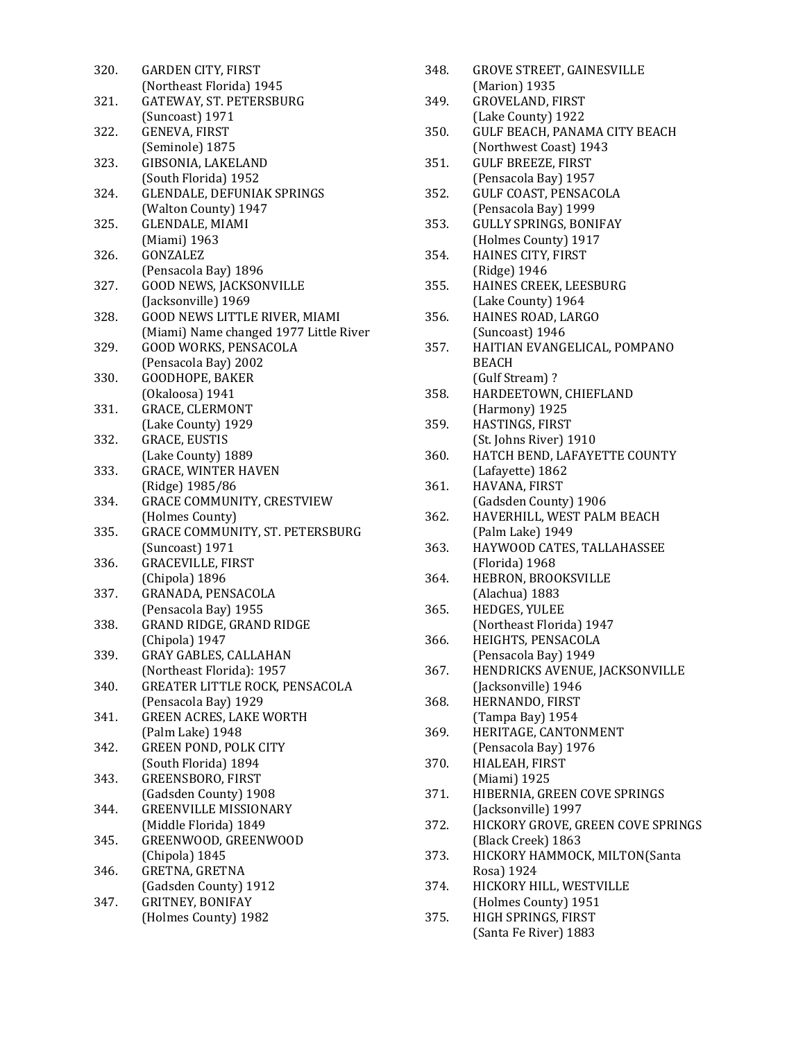| 320. | GARDEN CITY, FIRST                     |
|------|----------------------------------------|
|      | (Northeast Florida) 1945               |
| 321. | GATEWAY, ST. PETERSBURG                |
|      | (Suncoast) 1971                        |
| 322. | GENEVA, FIRST                          |
|      | (Seminole) 1875                        |
| 323. | GIBSONIA, LAKELAND                     |
|      | (South Florida) 1952                   |
| 324. | GLENDALE, DEFUNIAK SPRINGS             |
|      | (Walton County) 1947                   |
| 325. | GLENDALE, MIAMI                        |
|      | (Miami) 1963                           |
| 326. | GONZALEZ                               |
|      | (Pensacola Bay) 1896                   |
| 327. | GOOD NEWS, JACKSONVILLE                |
|      | (Jacksonville) 1969                    |
| 328. | GOOD NEWS LITTLE RIVER, MIAMI          |
|      | (Miami) Name changed 1977 Little River |
| 329. | <b>GOOD WORKS, PENSACOLA</b>           |
|      | (Pensacola Bay) 2002                   |
| 330. | GOODHOPE, BAKER                        |
|      | (Okaloosa) 1941                        |
| 331. | GRACE, CLERMONT                        |
|      | (Lake County) 1929                     |
| 332. | <b>GRACE, EUSTIS</b>                   |
|      | (Lake County) 1889                     |
| 333. | <b>GRACE, WINTER HAVEN</b>             |
|      | (Ridge) 1985/86                        |
| 334. | GRACE COMMUNITY, CRESTVIEW             |
|      | (Holmes County)                        |
| 335. | GRACE COMMUNITY, ST. PETERSBURG        |
|      | (Suncoast) 1971                        |
| 336. | <b>GRACEVILLE, FIRST</b>               |
|      | (Chipola) 1896                         |
| 337. | GRANADA, PENSACOLA                     |
|      | (Pensacola Bay) 1955                   |
| 338. | GRAND RIDGE, GRAND RIDGE               |
|      | (Chipola) 1947                         |
| 339. | <b>GRAY GABLES, CALLAHAN</b>           |
|      | (Northeast Florida): 1957              |
| 340. | GREATER LITTLE ROCK, PENSACOLA         |
|      | (Pensacola Bay) 1929                   |
| 341. | <b>GREEN ACRES, LAKE WORTH</b>         |
|      | (Palm Lake) 1948                       |
| 342. | <b>GREEN POND, POLK CITY</b>           |
|      | (South Florida) 1894                   |
| 343. | <b>GREENSBORO, FIRST</b>               |
|      | (Gadsden County) 1908                  |
| 344. | <b>GREENVILLE MISSIONARY</b>           |
|      | (Middle Florida) 1849                  |
| 345. | GREENWOOD, GREENWOOD                   |
|      | (Chipola) 1845                         |
| 346. | GRETNA, GRETNA                         |
|      | (Gadsden County) 1912                  |
| 347. | GRITNEY, BONIFAY                       |
|      | (Holmes County) 1982                   |
|      |                                        |

| 348. | <b>GROVE STREET, GAINESVILLE</b>      |
|------|---------------------------------------|
|      | (Marion) 1935                         |
| 349. | <b>GROVELAND, FIRST</b>               |
|      | (Lake County) 1922                    |
| 350. | GULF BEACH, PANAMA CITY BEACH         |
|      | (Northwest Coast) 1943                |
| 351. | <b>GULF BREEZE, FIRST</b>             |
|      | (Pensacola Bay) 1957                  |
| 352. | GULF COAST, PENSACOLA                 |
|      | (Pensacola Bay) 1999                  |
| 353. | GULLY SPRINGS, BONIFAY                |
|      | (Holmes County) 1917                  |
| 354. | HAINES CITY, FIRST                    |
|      | (Ridge) 1946                          |
| 355. | HAINES CREEK, LEESBURG                |
|      | (Lake County) 1964                    |
| 356. | HAINES ROAD, LARGO                    |
|      | (Suncoast) 1946                       |
| 357. | HAITIAN EVANGELICAL, POMPANO          |
|      | <b>BEACH</b>                          |
|      | (Gulf Stream)?                        |
| 358. | HARDEETOWN, CHIEFLAND                 |
|      | (Harmony) 1925                        |
| 359. | HASTINGS, FIRST                       |
|      | (St. Johns River) 1910                |
| 360. | HATCH BEND, LAFAYETTE COUNTY          |
|      | (Lafayette) 1862                      |
| 361. | HAVANA, FIRST                         |
|      | (Gadsden County) 1906                 |
| 362. | HAVERHILL, WEST PALM BEACH            |
|      | (Palm Lake) 1949                      |
| 363. | HAYWOOD CATES, TALLAHASSEE            |
|      | (Florida) 1968                        |
| 364. | HEBRON, BROOKSVILLE                   |
|      | (Alachua) 1883                        |
| 365. | HEDGES, YULEE                         |
|      | (Northeast Florida) 1947              |
| 366. | HEIGHTS, PENSACOLA                    |
|      | (Pensacola Bay) 1949                  |
| 367. | HENDRICKS AVENUE, JACKSONVILLE        |
|      | (Jacksonville) 1946                   |
| 368. | HERNANDO, FIRST                       |
|      | (Tampa Bay) 1954                      |
| 369. | HERITAGE, CANTONMENT                  |
|      | (Pensacola Bay) 1976                  |
| 370. | HIALEAH, FIRST                        |
|      | (Miami) 1925                          |
| 371. | HIBERNIA, GREEN COVE SPRINGS          |
|      | (Jacksonville) 1997                   |
| 372. | HICKORY GROVE, GREEN COVE SPRINGS     |
|      | (Black Creek) 1863                    |
| 373. | HICKORY HAMMOCK, MILTON(Santa         |
|      |                                       |
| 374. | Rosa) 1924<br>HICKORY HILL, WESTVILLE |
|      | (Holmes County) 1951                  |
| 375. | HIGH SPRINGS, FIRST                   |
|      |                                       |
|      | (Santa Fe River) 1883                 |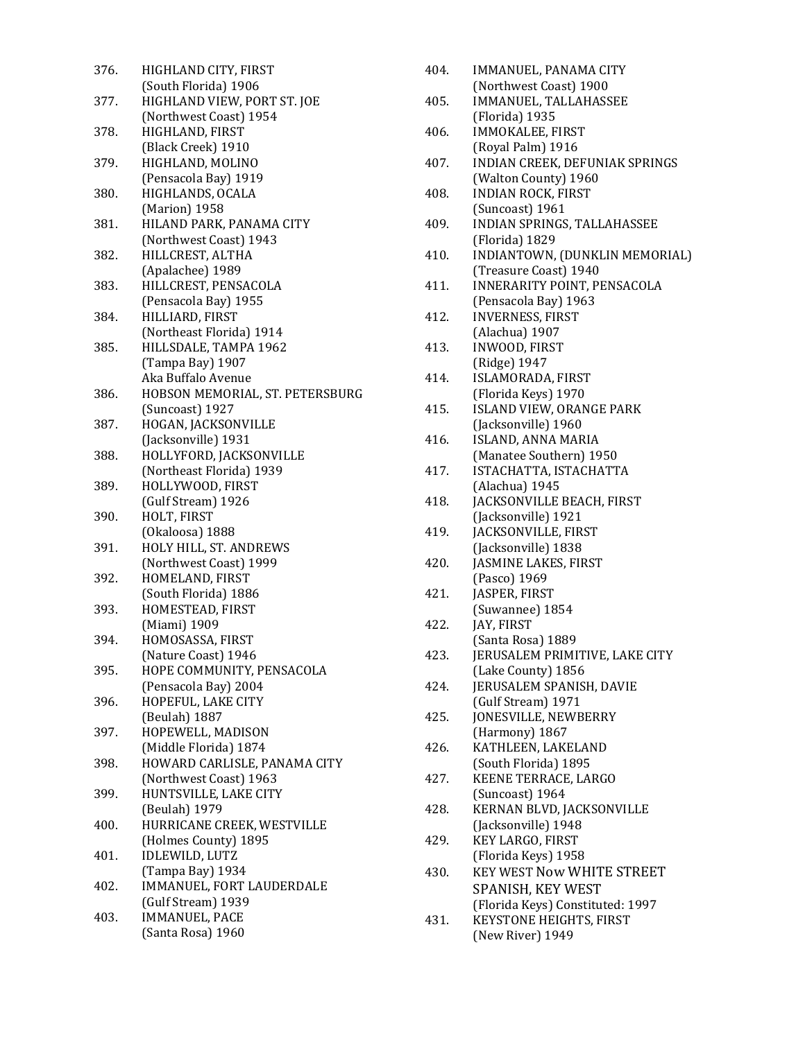| 376. | HIGHLAND CITY, FIRST                        |
|------|---------------------------------------------|
|      | (South Florida) 1906                        |
| 377. | HIGHLAND VIEW, PORT ST. JOE                 |
|      | (Northwest Coast) 1954                      |
| 378. | HIGHLAND, FIRST                             |
|      | (Black Creek) 1910                          |
| 379. | HIGHLAND, MOLINO                            |
|      | (Pensacola Bay) 1919                        |
| 380. | HIGHLANDS, OCALA                            |
|      | (Marion) 1958                               |
| 381. | HILAND PARK, PANAMA CITY                    |
|      | (Northwest Coast) 1943                      |
| 382. | HILLCREST, ALTHA                            |
|      | (Apalachee) 1989                            |
| 383. | HILLCREST, PENSACOLA                        |
|      | (Pensacola Bay) 1955                        |
| 384. | HILLIARD, FIRST                             |
|      | (Northeast Florida) 1914                    |
| 385. | HILLSDALE, TAMPA 1962                       |
|      | (Tampa Bay) 1907                            |
|      | Aka Buffalo Avenue                          |
| 386. | HOBSON MEMORIAL, ST. PETERSBURG             |
|      | (Suncoast) 1927                             |
| 387. | HOGAN, JACKSONVILLE                         |
|      | (Jacksonville) 1931                         |
| 388. | HOLLYFORD, JACKSONVILLE                     |
|      | (Northeast Florida) 1939                    |
| 389. | HOLLYWOOD, FIRST                            |
|      | (Gulf Stream) 1926                          |
| 390. | HOLT, FIRST                                 |
|      | (Okaloosa) 1888                             |
| 391. | HOLY HILL, ST. ANDREWS                      |
|      | (Northwest Coast) 1999                      |
| 392. | HOMELAND, FIRST                             |
|      | (South Florida) 1886                        |
| 393. | HOMESTEAD, FIRST                            |
|      | (Miami) 1909                                |
| 394. | HOMOSASSA, FIRST                            |
|      | (Nature Coast) 1946                         |
| 395. | HOPE COMMUNITY, PENSACOLA                   |
|      | (Pensacola Bay) 2004                        |
| 396. | HOPEFUL, LAKE CITY                          |
|      | (Beulah) 1887                               |
| 397. | HOPEWELL, MADISON                           |
|      | (Middle Florida) 1874                       |
| 398. | HOWARD CARLISLE, PANAMA CITY                |
|      | (Northwest Coast) 1963                      |
| 399. | HUNTSVILLE, LAKE CITY                       |
|      | (Beulah) 1979                               |
| 400. | HURRICANE CREEK, WESTVILLE                  |
|      | (Holmes County) 1895                        |
| 401. | IDLEWILD, LUTZ                              |
|      | (Tampa Bay) 1934                            |
| 402. | IMMANUEL, FORT LAUDERDALE                   |
|      | (Gulf Stream) 1939<br><b>IMMANUEL, PACE</b> |
| 403. | (Santa Rosa) 1960                           |
|      |                                             |

| 404. | IMMANUEL, PANAMA CITY                              |
|------|----------------------------------------------------|
|      | (Northwest Coast) 1900                             |
| 405. | IMMANUEL, TALLAHASSEE                              |
|      | (Florida) 1935                                     |
| 406. | IMMOKALEE, FIRST                                   |
|      | (Royal Palm) 1916                                  |
| 407. | INDIAN CREEK, DEFUNIAK SPRINGS                     |
|      | (Walton County) 1960                               |
| 408. | <b>INDIAN ROCK, FIRST</b>                          |
|      | (Suncoast) 1961                                    |
| 409. | INDIAN SPRINGS, TALLAHASSEE                        |
|      | (Florida) 1829                                     |
| 410. | INDIANTOWN, (DUNKLIN MEMORIAL)                     |
|      | (Treasure Coast) 1940                              |
| 411. | INNERARITY POINT, PENSACOLA                        |
|      | (Pensacola Bay) 1963                               |
| 412. | <b>INVERNESS, FIRST</b>                            |
|      | (Alachua) 1907                                     |
| 413. | INWOOD, FIRST                                      |
|      | (Ridge) 1947                                       |
| 414. | ISLAMORADA, FIRST                                  |
|      | (Florida Keys) 1970                                |
| 415. | ISLAND VIEW, ORANGE PARK                           |
|      | (Jacksonville) 1960                                |
| 416. | ISLAND, ANNA MARIA                                 |
|      | (Manatee Southern) 1950                            |
| 417. | ISTACHATTA, ISTACHATTA                             |
|      | (Alachua) 1945                                     |
| 418. | JACKSONVILLE BEACH, FIRST                          |
|      | (Jacksonville) 1921                                |
| 419. | JACKSONVILLE, FIRST                                |
|      | (Jacksonville) 1838                                |
| 420. | JASMINE LAKES, FIRST                               |
|      | (Pasco) 1969                                       |
| 421. | JASPER, FIRST                                      |
|      | (Suwannee) 1854                                    |
| 422. | JAY, FIRST                                         |
|      | (Santa Rosa) 1889                                  |
| 423. | JERUSALEM PRIMITIVE, LAKE CITY                     |
|      | (Lake County) 1856                                 |
| 424. | JERUSALEM SPANISH, DAVIE                           |
|      | (Gulf Stream) 1971                                 |
| 425. | JONESVILLE, NEWBERRY                               |
|      | (Harmony) 1867                                     |
| 426. | KATHLEEN, LAKELAND                                 |
|      | (South Florida) 1895                               |
| 427. | KEENE TERRACE, LARGO                               |
|      | (Suncoast) 1964                                    |
| 428. | KERNAN BLVD, JACKSONVILLE                          |
|      | (Jacksonville) 1948                                |
| 429. | KEY LARGO, FIRST                                   |
|      | (Florida Keys) 1958                                |
| 430. | <b>KEY WEST Now WHITE STREET</b>                   |
|      | SPANISH, KEY WEST                                  |
|      |                                                    |
|      | (Florida Keys) Constituted: 1997                   |
| 431. | <b>KEYSTONE HEIGHTS, FIRST</b><br>(New River) 1949 |
|      |                                                    |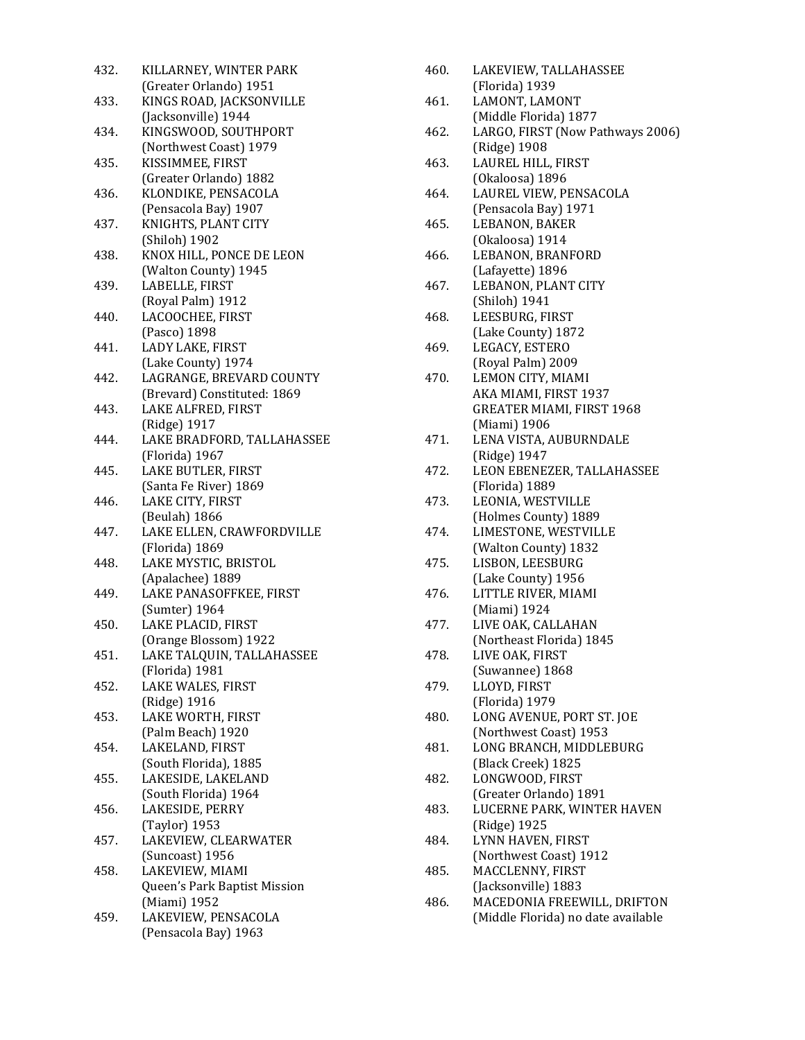| 432. | KILLARNEY, WINTER PARK               |
|------|--------------------------------------|
|      | (Greater Orlando) 1951               |
| 433. | KINGS ROAD, JACKSONVILLE             |
|      | (Jacksonville) 1944                  |
| 434. | KINGSWOOD, SOUTHPORT                 |
|      | (Northwest Coast) 1979               |
| 435. | KISSIMMEE, FIRST                     |
|      | (Greater Orlando) 1882               |
| 436. | KLONDIKE, PENSACOLA                  |
|      | (Pensacola Bay) 1907                 |
| 437. | KNIGHTS, PLANT CITY                  |
|      | (Shiloh) 1902                        |
| 438. | KNOX HILL, PONCE DE LEON             |
|      | (Walton County) 1945                 |
| 439. | LABELLE, FIRST                       |
|      | (Royal Palm) 1912                    |
| 440. | LACOOCHEE, FIRST                     |
|      | (Pasco) 1898                         |
| 441. | LADY LAKE, FIRST                     |
|      | (Lake County) 1974                   |
| 442. | LAGRANGE, BREVARD COUNTY             |
|      | (Brevard) Constituted: 1869          |
| 443. | LAKE ALFRED, FIRST                   |
|      | (Ridge) 1917                         |
| 444. | LAKE BRADFORD, TALLAHASSEE           |
|      | (Florida) 1967<br>LAKE BUTLER, FIRST |
| 445. | (Santa Fe River) 1869                |
|      | LAKE CITY, FIRST                     |
| 446. | (Beulah) 1866                        |
| 447. | LAKE ELLEN, CRAWFORDVILLE            |
|      | (Florida) 1869                       |
| 448. | LAKE MYSTIC, BRISTOL                 |
|      | (Apalachee) 1889                     |
| 449. | LAKE PANASOFFKEE, FIRST              |
|      | (Sumter) 1964                        |
| 450. | LAKE PLACID, FIRST                   |
|      | (Orange Blossom) 1922                |
| 451. | LAKE TALQUIN, TALLAHASSEE            |
|      | (Florida) 1981                       |
| 452. | LAKE WALES, FIRST                    |
|      | (Ridge) 1916                         |
| 453. | LAKE WORTH, FIRST                    |
|      | (Palm Beach) 1920                    |
| 454. | LAKELAND, FIRST                      |
|      | (South Florida), 1885                |
| 455. | LAKESIDE, LAKELAND                   |
|      | (South Florida) 1964                 |
| 456. | LAKESIDE, PERRY                      |
|      | (Taylor) 1953                        |
| 457. | LAKEVIEW, CLEARWATER                 |
|      | (Suncoast) 1956                      |
| 458. | LAKEVIEW, MIAMI                      |
|      | Queen's Park Baptist Mission         |
|      | (Miami) 1952                         |
| 459. | LAKEVIEW, PENSACOLA                  |
|      | (Pensacola Bay) 1963                 |

| 460. | LAKEVIEW, TALLAHASSEE                       |
|------|---------------------------------------------|
|      | (Florida) 1939                              |
| 461. | LAMONT, LAMONT                              |
|      | (Middle Florida) 1877                       |
| 462. | LARGO, FIRST (Now Pathways 2006)            |
|      | (Ridge) 1908                                |
| 463. | LAUREL HILL, FIRST                          |
|      | (Okaloosa) 1896                             |
| 464. | LAUREL VIEW, PENSACOLA                      |
|      | (Pensacola Bay) 1971                        |
| 465. | LEBANON, BAKER                              |
|      | (Okaloosa) 1914                             |
| 466. | LEBANON, BRANFORD                           |
|      | (Lafayette) 1896                            |
| 467. | LEBANON, PLANT CITY                         |
|      | (Shiloh) 1941                               |
| 468. | LEESBURG, FIRST                             |
|      | (Lake County) 1872                          |
| 469. | LEGACY, ESTERO                              |
|      | (Royal Palm) 2009                           |
| 470. | LEMON CITY, MIAMI                           |
|      | AKA MIAMI, FIRST 1937                       |
|      | GREATER MIAMI, FIRST 1968                   |
|      | (Miami) 1906                                |
| 471. | LENA VISTA, AUBURNDALE                      |
|      | (Ridge) 1947                                |
| 472. | LEON EBENEZER, TALLAHASSEE                  |
|      | (Florida) 1889                              |
| 473. | LEONIA, WESTVILLE                           |
|      | (Holmes County) 1889                        |
| 474. | LIMESTONE, WESTVILLE                        |
|      | (Walton County) 1832                        |
| 475. | LISBON, LEESBURG                            |
|      | (Lake County) 1956                          |
| 476. | LITTLE RIVER, MIAMI                         |
|      | (Miami) 1924                                |
| 477. | LIVE OAK, CALLAHAN                          |
|      | (Northeast Florida) 1845                    |
| 478. | LIVE OAK, FIRST                             |
|      | (Suwannee) 1868                             |
| 479. | LLOYD, FIRST                                |
| 480. | (Florida) 1979<br>LONG AVENUE, PORT ST. JOE |
|      |                                             |
|      | (Northwest Coast) 1953                      |
| 481. | LONG BRANCH, MIDDLEBURG                     |
| 482. | (Black Creek) 1825<br>LONGWOOD, FIRST       |
|      | (Greater Orlando) 1891                      |
| 483. | LUCERNE PARK, WINTER HAVEN                  |
|      | (Ridge) 1925                                |
| 484. | LYNN HAVEN, FIRST                           |
|      | (Northwest Coast) 1912                      |
| 485. | MACCLENNY, FIRST                            |
|      | (Jacksonville) 1883                         |
| 486. | MACEDONIA FREEWILL, DRIFTON                 |
|      | (Middle Florida) no date available          |
|      |                                             |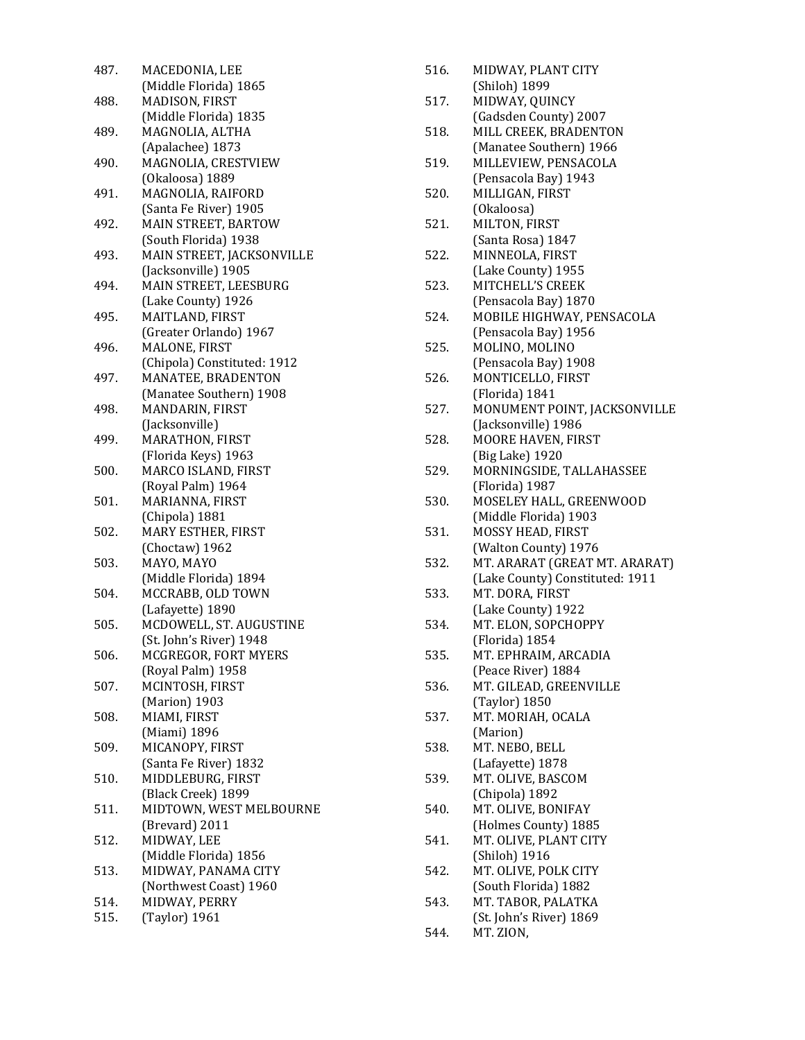| 487. | MACEDONIA, LEE              |
|------|-----------------------------|
|      | (Middle Florida) 1865       |
| 488. | MADISON, FIRST              |
|      | (Middle Florida) 1835       |
| 489. | MAGNOLIA, ALTHA             |
|      | (Apalachee) 1873            |
| 490. | MAGNOLIA, CRESTVIEW         |
|      | (Okaloosa) 1889             |
| 491. | MAGNOLIA, RAIFORD           |
|      | (Santa Fe River) 1905       |
| 492. | MAIN STREET, BARTOW         |
|      | (South Florida) 1938        |
| 493. | MAIN STREET, JACKSONVILLE   |
|      | (Jacksonville) 1905         |
| 494. | MAIN STREET, LEESBURG       |
|      | (Lake County) 1926          |
| 495. | MAITLAND, FIRST             |
|      | (Greater Orlando) 1967      |
| 496. | MALONE, FIRST               |
|      | (Chipola) Constituted: 1912 |
| 497. | MANATEE, BRADENTON          |
|      | (Manatee Southern) 1908     |
| 498. | MANDARIN, FIRST             |
|      | (Jacksonville)              |
| 499. | MARATHON, FIRST             |
|      | (Florida Keys) 1963         |
| 500. | MARCO ISLAND, FIRST         |
|      | (Royal Palm) 1964           |
| 501. | MARIANNA, FIRST             |
|      | (Chipola) 1881              |
| 502. | MARY ESTHER, FIRST          |
|      | (Choctaw) 1962              |
| 503. | MAYO, MAYO                  |
|      | (Middle Florida) 1894       |
| 504. | MCCRABB, OLD TOWN           |
|      | (Lafayette) 1890            |
| 505. | MCDOWELL, ST. AUGUSTINE     |
|      | (St. John's River) 1948     |
| 506. | MCGREGOR, FORT MYERS        |
|      | (Royal Palm) 1958           |
| 507. | MCINTOSH, FIRST             |
|      | (Marion) 1903               |
| 508. | MIAMI, FIRST                |
|      | (Miami) 1896                |
| 509. | MICANOPY, FIRST             |
|      | (Santa Fe River) 1832       |
| 510. | MIDDLEBURG, FIRST           |
|      | (Black Creek) 1899          |
| 511. | MIDTOWN, WEST MELBOURNE     |
|      | (Brevard) 2011              |
| 512. | MIDWAY, LEE                 |
|      | (Middle Florida) 1856       |
| 513. | MIDWAY, PANAMA CITY         |
|      | (Northwest Coast) 1960      |
| 514. | MIDWAY, PERRY               |
| 515. | (Taylor) 1961               |

| 516. | MIDWAY, PLANT CITY                                 |
|------|----------------------------------------------------|
| 517. | (Shiloh) 1899                                      |
|      | MIDWAY, QUINCY<br>(Gadsden County) 2007            |
| 518. | MILL CREEK, BRADENTON                              |
|      | (Manatee Southern) 1966                            |
| 519. | MILLEVIEW, PENSACOLA                               |
|      | (Pensacola Bay) 1943                               |
| 520. | MILLIGAN, FIRST                                    |
|      | (Okaloosa)                                         |
| 521. | MILTON, FIRST                                      |
|      | (Santa Rosa) 1847                                  |
| 522. | MINNEOLA, FIRST                                    |
|      | (Lake County) 1955                                 |
| 523. | MITCHELL'S CREEK                                   |
|      | (Pensacola Bay) 1870                               |
| 524. | MOBILE HIGHWAY, PENSACOLA                          |
|      | (Pensacola Bay) 1956                               |
| 525. | MOLINO, MOLINO                                     |
|      | (Pensacola Bay) 1908                               |
| 526. | MONTICELLO, FIRST                                  |
|      | (Florida) 1841                                     |
| 527. | MONUMENT POINT, JACKSONVILLE                       |
|      | (Jacksonville) 1986                                |
| 528. | MOORE HAVEN, FIRST                                 |
|      | (Big Lake) 1920                                    |
| 529. | MORNINGSIDE, TALLAHASSEE                           |
|      | (Florida) 1987                                     |
| 530. | MOSELEY HALL, GREENWOOD                            |
|      | (Middle Florida) 1903                              |
| 531. | MOSSY HEAD, FIRST                                  |
| 532. | (Walton County) 1976                               |
|      | MT. ARARAT (GREAT MT. ARARAT)                      |
| 533. | (Lake County) Constituted: 1911<br>MT. DORA, FIRST |
|      | (Lake County) 1922                                 |
| 534. | MT. ELON, SOPCHOPPY                                |
|      | (Florida) 1854                                     |
| 535. | MT. EPHRAIM, ARCADIA                               |
|      | (Peace River) 1884                                 |
| 536. | MT. GILEAD, GREENVILLE                             |
|      | (Taylor) 1850                                      |
| 537. | MT. MORIAH, OCALA                                  |
|      | (Marion)                                           |
| 538. | MT. NEBO, BELL                                     |
|      | (Lafayette) 1878                                   |
| 539. | MT. OLIVE, BASCOM                                  |
|      | (Chipola) 1892                                     |
| 540. | MT. OLIVE, BONIFAY                                 |
|      | (Holmes County) 1885                               |
| 541. | MT. OLIVE, PLANT CITY                              |
|      | (Shiloh) 1916                                      |
| 542. | MT. OLIVE, POLK CITY                               |
|      | (South Florida) 1882                               |
| 543. | MT. TABOR, PALATKA                                 |
|      | (St. John's River) 1869                            |
| 544. | MT. ZION,                                          |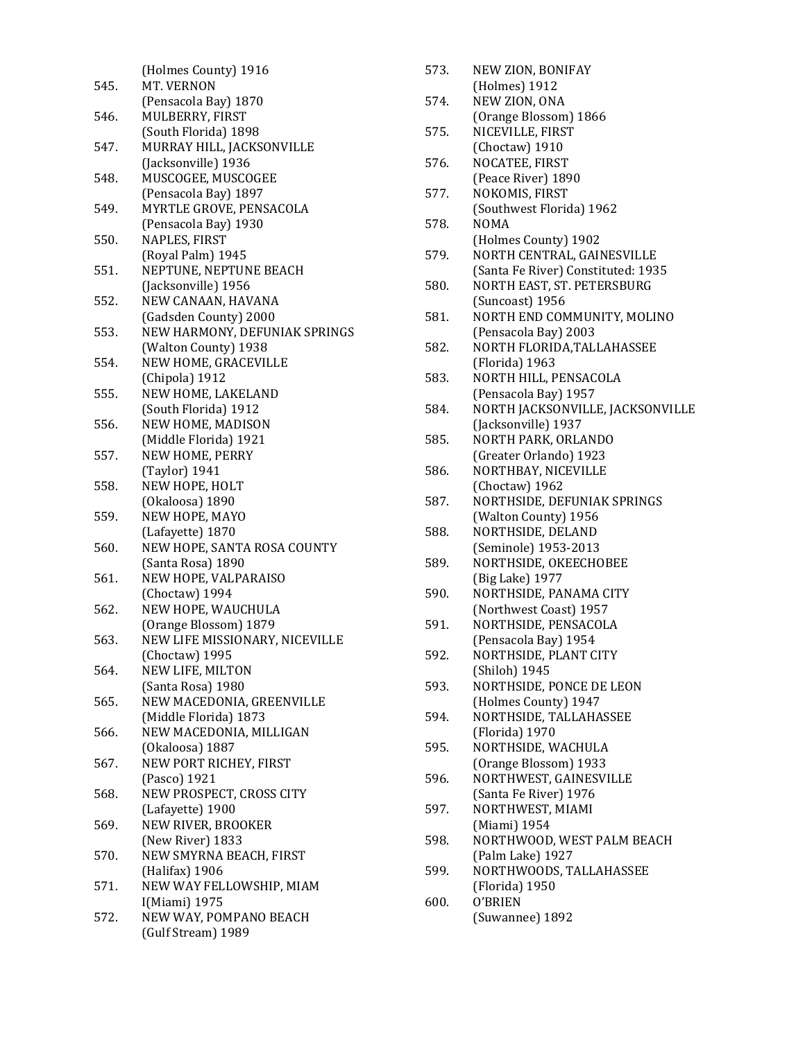|      | (Holmes County) 1916           |
|------|--------------------------------|
| 545. | MT. VERNON                     |
|      | (Pensacola Bay) 1870           |
| 546. | MULBERRY, FIRST                |
|      | (South Florida) 1898           |
| 547. | MURRAY HILL, JACKSONVILLE      |
|      |                                |
|      | (Jacksonville) 1936            |
| 548. | MUSCOGEE, MUSCOGEE             |
|      | (Pensacola Bay) 1897           |
| 549. | MYRTLE GROVE, PENSACOLA        |
|      | (Pensacola Bay) 1930           |
| 550. | NAPLES, FIRST                  |
|      | (Royal Palm) 1945              |
| 551. | NEPTUNE, NEPTUNE BEACH         |
|      | (Jacksonville) 1956            |
| 552. | NEW CANAAN, HAVANA             |
|      | (Gadsden County) 2000          |
| 553. | NEW HARMONY, DEFUNIAK SPRINGS  |
|      |                                |
|      | (Walton County) 1938           |
| 554. | NEW HOME, GRACEVILLE           |
|      | (Chipola) 1912                 |
| 555. | NEW HOME, LAKELAND             |
|      | (South Florida) 1912           |
| 556. | NEW HOME, MADISON              |
|      | (Middle Florida) 1921          |
| 557. | NEW HOME, PERRY                |
|      | (Taylor) 1941                  |
| 558. | NEW HOPE, HOLT                 |
|      | (Okaloosa) 1890                |
| 559. | NEW HOPE, MAYO                 |
|      |                                |
|      | (Lafayette) 1870               |
| 560. | NEW HOPE, SANTA ROSA COUNTY    |
|      | (Santa Rosa) 1890              |
| 561. | NEW HOPE, VALPARAISO           |
|      | (Choctaw) 1994                 |
| 562. | NEW HOPE, WAUCHULA             |
|      | (Orange Blossom) 1879          |
| 563. | NEW LIFE MISSIONARY, NICEVILLE |
|      | (Choctaw) 1995                 |
| 564. | NEW LIFE, MILTON               |
|      | (Santa Rosa) 1980              |
| 565. | NEW MACEDONIA, GREENVILLE      |
|      | (Middle Florida) 1873          |
| 566. | NEW MACEDONIA, MILLIGAN        |
|      |                                |
|      | (Okaloosa) 1887                |
| 567. | NEW PORT RICHEY, FIRST         |
|      | (Pasco) 1921                   |
| 568. | NEW PROSPECT, CROSS CITY       |
|      | (Lafayette) 1900               |
| 569. | NEW RIVER, BROOKER             |
|      | (New River) 1833               |
| 570. | NEW SMYRNA BEACH, FIRST        |
|      | (Halifax) 1906                 |
| 571. | NEW WAY FELLOWSHIP, MIAM       |
|      | I(Miami) 1975                  |
| 572. | NEW WAY, POMPANO BEACH         |
|      | (Gulf Stream) 1989             |
|      |                                |
|      |                                |

| 573. | NEW ZION, BONIFAY                         |
|------|-------------------------------------------|
| 574. | (Holmes) 1912<br>NEW ZION, ONA            |
|      | (Orange Blossom) 1866                     |
| 575. | NICEVILLE, FIRST                          |
|      | (Choctaw) 1910                            |
| 576. | NOCATEE, FIRST                            |
|      | (Peace River) 1890                        |
| 577. | NOKOMIS, FIRST                            |
|      | (Southwest Florida) 1962                  |
| 578. | <b>NOMA</b>                               |
|      | (Holmes County) 1902                      |
| 579. | NORTH CENTRAL, GAINESVILLE                |
|      | (Santa Fe River) Constituted: 1935        |
| 580. | NORTH EAST, ST. PETERSBURG                |
|      | (Suncoast) 1956                           |
| 581. | NORTH END COMMUNITY, MOLINO               |
|      | (Pensacola Bay) 2003                      |
| 582. | NORTH FLORIDA, TALLAHASSEE                |
|      | (Florida) 1963                            |
| 583. | NORTH HILL, PENSACOLA                     |
|      | (Pensacola Bay) 1957                      |
| 584. | NORTH JACKSONVILLE, JACKSONVILLE          |
|      | (Jacksonville) 1937                       |
| 585. | NORTH PARK, ORLANDO                       |
|      | (Greater Orlando) 1923                    |
| 586. | NORTHBAY, NICEVILLE                       |
|      | (Choctaw) 1962                            |
| 587. | NORTHSIDE, DEFUNIAK SPRINGS               |
|      | (Walton County) 1956                      |
| 588. |                                           |
|      | NORTHSIDE, DELAND<br>(Seminole) 1953-2013 |
| 589. | NORTHSIDE, OKEECHOBEE                     |
|      |                                           |
| 590. | (Big Lake) 1977                           |
|      | NORTHSIDE, PANAMA CITY                    |
|      | (Northwest Coast) 1957                    |
| 591. | NORTHSIDE, PENSACOLA                      |
| 592. | (Pensacola Bay) 1954                      |
|      | NORTHSIDE, PLANT CITY                     |
|      | (Shiloh) 1945                             |
| 593. | NORTHSIDE, PONCE DE LEON                  |
|      | (Holmes County) 1947                      |
| 594. | NORTHSIDE, TALLAHASSEE                    |
|      | (Florida) 1970                            |
| 595. | NORTHSIDE, WACHULA                        |
|      | (Orange Blossom) 1933                     |
| 596. | NORTHWEST, GAINESVILLE                    |
|      | (Santa Fe River) 1976                     |
| 597. | NORTHWEST, MIAMI                          |
|      | (Miami) 1954                              |
| 598. | NORTHWOOD, WEST PALM BEACH                |
|      | (Palm Lake) 1927                          |
| 599. | NORTHWOODS, TALLAHASSEE                   |
|      | (Florida) 1950                            |
| 600. | O'BRIEN                                   |
|      | (Suwannee) 1892                           |
|      |                                           |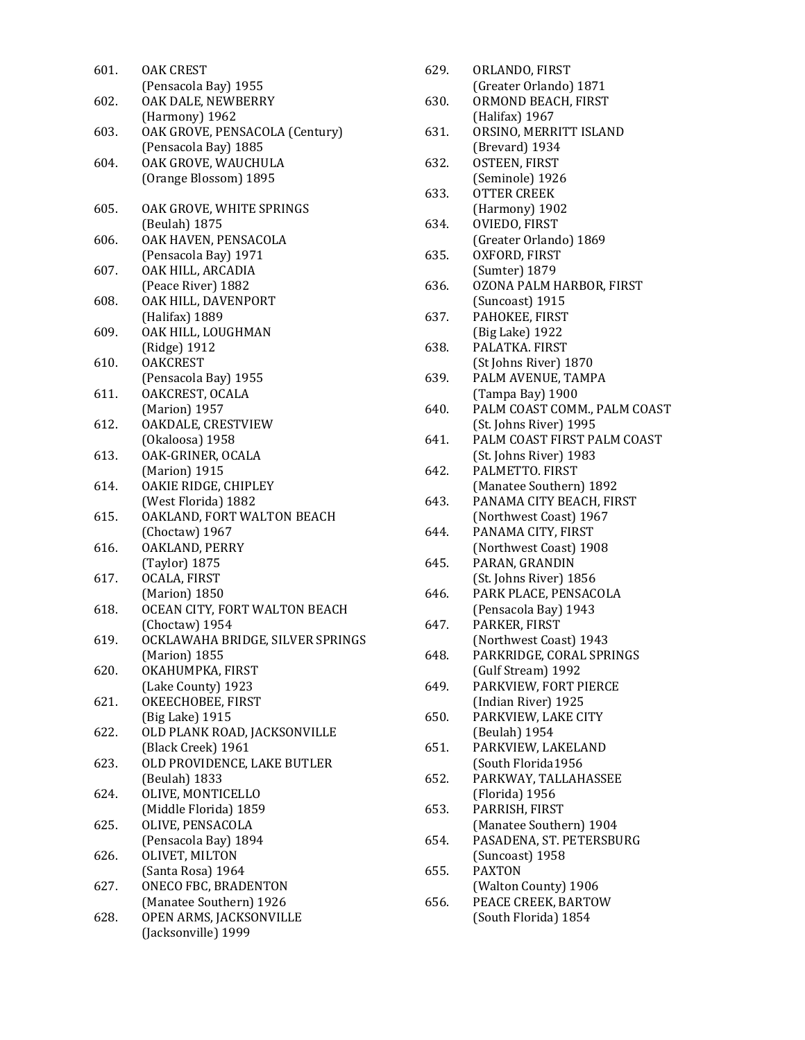| 601. | <b>OAK CREST</b>                                |
|------|-------------------------------------------------|
|      | (Pensacola Bay) 1955                            |
| 602. | OAK DALE, NEWBERRY                              |
|      | (Harmony) 1962                                  |
| 603. | OAK GROVE, PENSACOLA (Century)                  |
|      | (Pensacola Bay) 1885                            |
| 604. | OAK GROVE, WAUCHULA                             |
|      | (Orange Blossom) 1895                           |
|      |                                                 |
| 605. | OAK GROVE, WHITE SPRINGS                        |
| 606. | (Beulah) 1875                                   |
|      | OAK HAVEN, PENSACOLA<br>(Pensacola Bay) 1971    |
| 607. | OAK HILL, ARCADIA                               |
|      | (Peace River) 1882                              |
| 608. | OAK HILL, DAVENPORT                             |
|      | (Halifax) 1889                                  |
| 609. | OAK HILL, LOUGHMAN                              |
|      | (Ridge) 1912                                    |
| 610. | <b>OAKCREST</b>                                 |
|      | (Pensacola Bay) 1955                            |
| 611. | OAKCREST, OCALA                                 |
|      | (Marion) 1957                                   |
| 612. | OAKDALE, CRESTVIEW                              |
|      | (Okaloosa) 1958                                 |
| 613. | OAK-GRINER, OCALA                               |
|      | (Marion) 1915                                   |
| 614. | OAKIE RIDGE, CHIPLEY                            |
|      | (West Florida) 1882                             |
| 615. | OAKLAND, FORT WALTON BEACH                      |
|      | (Choctaw) 1967                                  |
| 616. | OAKLAND, PERRY                                  |
|      | (Taylor) 1875                                   |
| 617. | OCALA, FIRST                                    |
|      | (Marion) 1850                                   |
| 618. | OCEAN CITY, FORT WALTON BEACH                   |
|      | (Choctaw) 1954                                  |
| 619. | OCKLAWAHA BRIDGE, SILVER SPRINGS                |
|      | (Marion) 1855                                   |
| 620. | OKAHUMPKA, FIRST                                |
|      | (Lake County) 1923                              |
| 621. | OKEECHOBEE, FIRST                               |
| 622. | (Big Lake) 1915<br>OLD PLANK ROAD, JACKSONVILLE |
|      | (Black Creek) 1961                              |
| 623. | OLD PROVIDENCE, LAKE BUTLER                     |
|      | (Beulah) 1833                                   |
| 624. | OLIVE, MONTICELLO                               |
|      | (Middle Florida) 1859                           |
| 625. | OLIVE, PENSACOLA                                |
|      | (Pensacola Bay) 1894                            |
| 626. | OLIVET, MILTON                                  |
|      | (Santa Rosa) 1964                               |
| 627. | ONECO FBC, BRADENTON                            |
|      | (Manatee Southern) 1926                         |
| 628. | OPEN ARMS, JACKSONVILLE                         |
|      | (Jacksonville) 1999                             |

| 629. | ORLANDO, FIRST                                        |
|------|-------------------------------------------------------|
| 630. | (Greater Orlando) 1871<br>ORMOND BEACH, FIRST         |
|      | (Halifax) 1967                                        |
| 631. | ORSINO, MERRITT ISLAND                                |
|      | (Brevard) 1934                                        |
| 632. | OSTEEN, FIRST                                         |
|      | (Seminole) 1926                                       |
| 633. | <b>OTTER CREEK</b>                                    |
| 634. | (Harmony) 1902<br>OVIEDO, FIRST                       |
|      | (Greater Orlando) 1869                                |
| 635. | OXFORD, FIRST                                         |
|      | (Sumter) 1879                                         |
| 636. | OZONA PALM HARBOR, FIRST                              |
|      | (Suncoast) 1915                                       |
| 637. | PAHOKEE, FIRST                                        |
|      | (Big Lake) 1922                                       |
| 638. | PALATKA. FIRST                                        |
|      | (St Johns River) 1870                                 |
| 639. | PALM AVENUE, TAMPA                                    |
|      | (Tampa Bay) 1900                                      |
| 640. | PALM COAST COMM., PALM COAST                          |
| 641. | (St. Johns River) 1995<br>PALM COAST FIRST PALM COAST |
|      | (St. Johns River) 1983                                |
| 642. | PALMETTO. FIRST                                       |
|      | (Manatee Southern) 1892                               |
| 643. | PANAMA CITY BEACH, FIRST                              |
|      | (Northwest Coast) 1967                                |
| 644. | PANAMA CITY, FIRST                                    |
|      | (Northwest Coast) 1908                                |
| 645. | PARAN, GRANDIN                                        |
|      | (St. Johns River) 1856                                |
| 646. | PARK PLACE, PENSACOLA                                 |
|      | (Pensacola Bay) 1943                                  |
| 647. | PARKER, FIRST<br>(Northwest Coast) 1943               |
| 648. | PARKRIDGE, CORAL SPRINGS                              |
|      | (Gulf Stream) 1992                                    |
| 649. | PARKVIEW, FORT PIERCE                                 |
|      | (Indian River) 1925                                   |
| 650. | PARKVIEW, LAKE CITY                                   |
|      | (Beulah) 1954                                         |
| 651. | PARKVIEW, LAKELAND                                    |
|      | (South Florida1956                                    |
| 652. | PARKWAY, TALLAHASSEE                                  |
|      | (Florida) 1956<br>PARRISH, FIRST                      |
| 653. | (Manatee Southern) 1904                               |
| 654. | PASADENA, ST. PETERSBURG                              |
|      | (Suncoast) 1958                                       |
| 655. | <b>PAXTON</b>                                         |
|      | (Walton County) 1906                                  |
| 656. | PEACE CREEK, BARTOW                                   |
|      | (South Florida) 1854                                  |
|      |                                                       |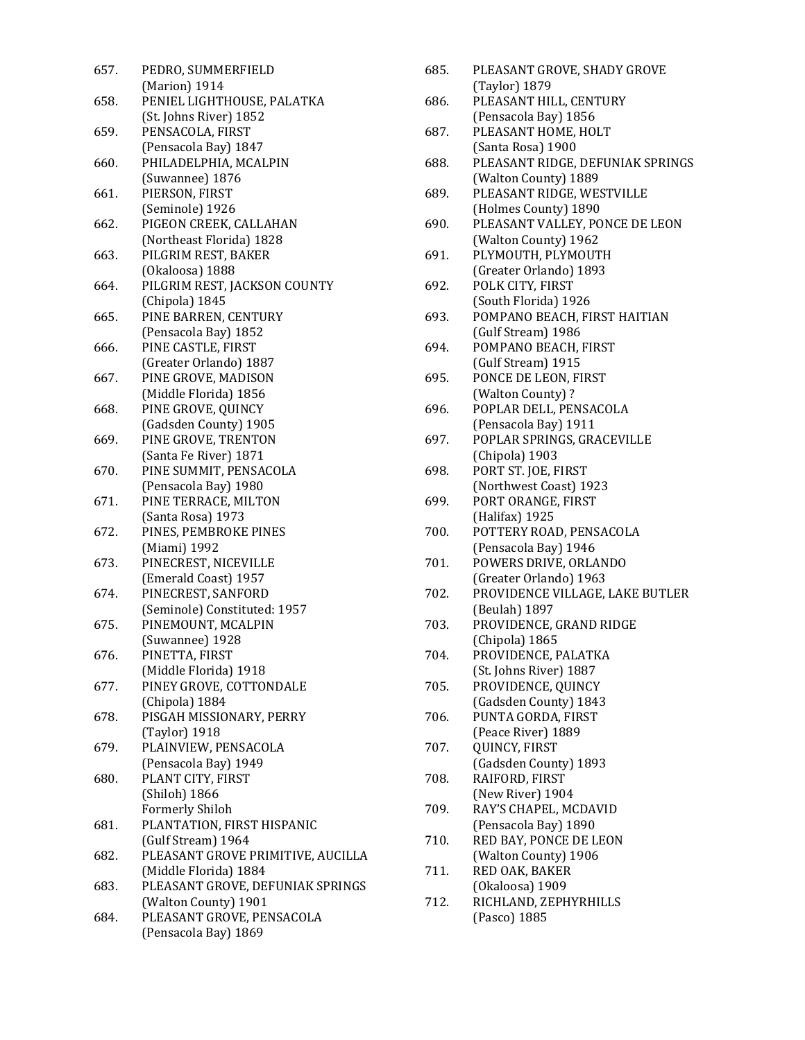| 657. | PEDRO, SUMMERFIELD                               |
|------|--------------------------------------------------|
|      | (Marion) 1914                                    |
| 658. | PENIEL LIGHTHOUSE, PALATKA                       |
|      | (St. Johns River) 1852                           |
| 659. | PENSACOLA, FIRST                                 |
|      | (Pensacola Bay) 1847                             |
| 660. | PHILADELPHIA, MCALPIN                            |
|      | (Suwannee) 1876                                  |
| 661. | PIERSON, FIRST                                   |
|      | (Seminole) 1926                                  |
| 662. | PIGEON CREEK, CALLAHAN                           |
|      | (Northeast Florida) 1828                         |
| 663. | PILGRIM REST, BAKER                              |
|      | (Okaloosa) 1888                                  |
| 664. | PILGRIM REST, JACKSON COUNTY                     |
|      | (Chipola) 1845                                   |
| 665. | PINE BARREN, CENTURY                             |
|      | (Pensacola Bay) 1852                             |
| 666. | PINE CASTLE, FIRST                               |
|      | (Greater Orlando) 1887                           |
| 667. | PINE GROVE, MADISON                              |
|      | (Middle Florida) 1856                            |
| 668. | PINE GROVE, QUINCY                               |
|      | (Gadsden County) 1905                            |
| 669. | PINE GROVE, TRENTON                              |
|      | (Santa Fe River) 1871                            |
| 670. | PINE SUMMIT, PENSACOLA                           |
|      | (Pensacola Bay) 1980                             |
| 671. | PINE TERRACE, MILTON                             |
|      | (Santa Rosa) 1973                                |
| 672. | PINES, PEMBROKE PINES                            |
|      | (Miami) 1992                                     |
| 673. | PINECREST, NICEVILLE                             |
|      | (Emerald Coast) 1957                             |
| 674. | PINECREST, SANFORD                               |
|      | (Seminole) Constituted: 1957                     |
| 675. | PINEMOUNT, MCALPIN                               |
| 676. | (Suwannee) 1928<br>PINETTA, FIRST                |
|      |                                                  |
| 677. | (Middle Florida) 1918<br>PINEY GROVE, COTTONDALE |
|      | (Chipola) 1884                                   |
| 678. | PISGAH MISSIONARY, PERRY                         |
|      | (Taylor) 1918                                    |
| 679. | PLAINVIEW, PENSACOLA                             |
|      | (Pensacola Bay) 1949                             |
| 680. | PLANT CITY, FIRST                                |
|      | (Shiloh) 1866                                    |
|      | Formerly Shiloh                                  |
| 681. | PLANTATION, FIRST HISPANIC                       |
|      | (Gulf Stream) 1964                               |
| 682. | PLEASANT GROVE PRIMITIVE, AUCILLA                |
|      | (Middle Florida) 1884                            |
| 683. | PLEASANT GROVE, DEFUNIAK SPRINGS                 |
|      | (Walton County) 1901                             |
| 684. | PLEASANT GROVE, PENSACOLA                        |
|      | (Pensacola Bay) 1869                             |
|      |                                                  |

|       | 685. | PLEASANT GROVE, SHADY GROVE      |
|-------|------|----------------------------------|
|       |      | (Taylor) 1879                    |
|       | 686. | PLEASANT HILL, CENTURY           |
|       |      | (Pensacola Bay) 1856             |
|       | 687. | PLEASANT HOME, HOLT              |
|       |      | (Santa Rosa) 1900                |
|       | 688. | PLEASANT RIDGE, DEFUNIAK SPRINGS |
|       |      | (Walton County) 1889             |
|       | 689. | PLEASANT RIDGE, WESTVILLE        |
|       |      | (Holmes County) 1890             |
|       | 690. | PLEASANT VALLEY, PONCE DE LEON   |
|       |      |                                  |
|       | 691. | (Walton County) 1962             |
|       |      | PLYMOUTH, PLYMOUTH               |
|       |      | (Greater Orlando) 1893           |
|       | 692. | POLK CITY, FIRST                 |
|       |      | (South Florida) 1926             |
|       | 693. | POMPANO BEACH, FIRST HAITIAN     |
|       |      | (Gulf Stream) 1986               |
|       | 694. | POMPANO BEACH, FIRST             |
|       |      | (Gulf Stream) 1915               |
|       | 695. | PONCE DE LEON, FIRST             |
|       |      | (Walton County)?                 |
|       | 696. | POPLAR DELL, PENSACOLA           |
|       |      | (Pensacola Bay) 1911             |
|       | 697. | POPLAR SPRINGS, GRACEVILLE       |
|       |      | (Chipola) 1903                   |
|       | 698. | PORT ST. JOE, FIRST              |
|       |      | (Northwest Coast) 1923           |
|       | 699. | PORT ORANGE, FIRST               |
|       |      |                                  |
|       |      | (Halifax) 1925                   |
|       | 700. | POTTERY ROAD, PENSACOLA          |
|       |      | (Pensacola Bay) 1946             |
|       | 701. | POWERS DRIVE, ORLANDO            |
|       |      | (Greater Orlando) 1963           |
|       | 702. | PROVIDENCE VILLAGE, LAKE BUTLER  |
|       |      | (Beulah) 1897                    |
|       | 703. | PROVIDENCE, GRAND RIDGE          |
|       |      | (Chipola) 1865                   |
|       | 704. | PROVIDENCE, PALATKA              |
|       |      | (St. Johns River) 1887           |
|       | 705. | PROVIDENCE, QUINCY               |
|       |      | (Gadsden County) 1843            |
|       | 706. | PUNTA GORDA, FIRST               |
|       |      | (Peace River) 1889               |
|       | 707. | QUINCY, FIRST                    |
|       |      | (Gadsden County) 1893            |
|       | 708. | RAIFORD, FIRST                   |
|       |      | (New River) 1904                 |
|       | 709. | RAY'S CHAPEL, MCDAVID            |
|       |      | (Pensacola Bay) 1890             |
|       |      |                                  |
|       | 710. | RED BAY, PONCE DE LEON           |
| ILLA: |      | (Walton County) 1906             |
|       | 711. | RED OAK, BAKER                   |
| INGS  |      | (Okaloosa) 1909                  |
|       | 712. | RICHLAND, ZEPHYRHILLS            |
|       |      | (Pasco) 1885                     |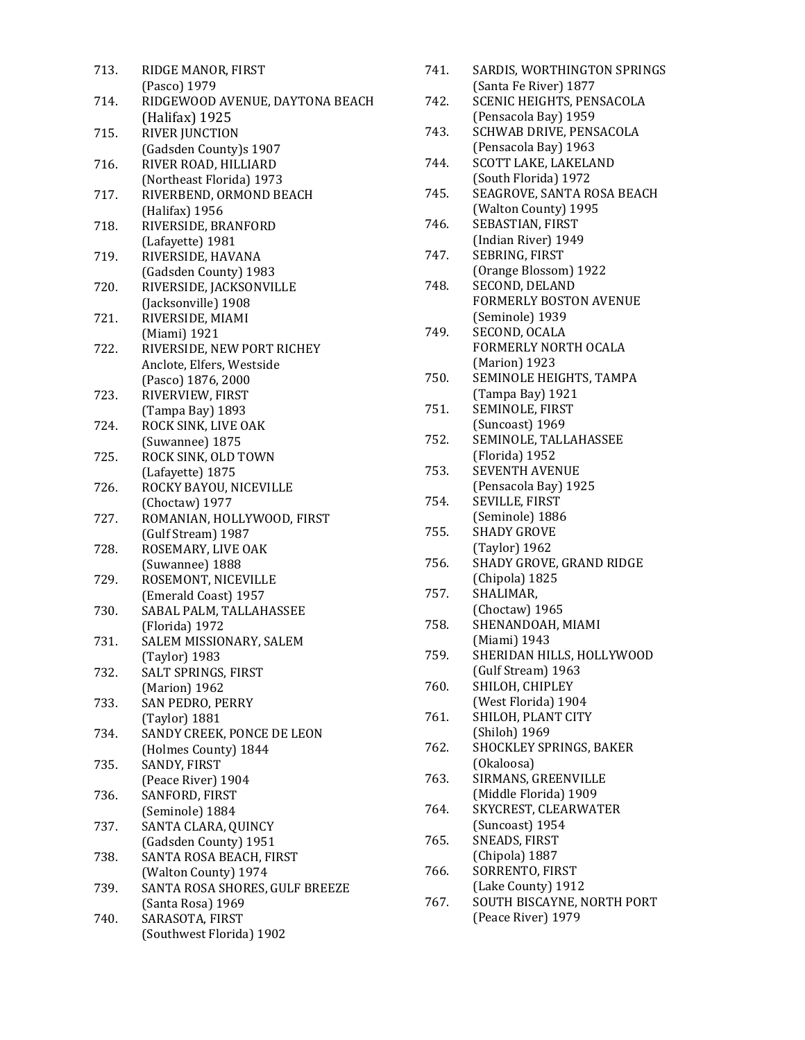| 713. | RIDGE MANOR, FIRST                                     |
|------|--------------------------------------------------------|
|      | (Pasco) 1979                                           |
| 714. | RIDGEWOOD AVENUE, DAYTONA BEACH                        |
|      | (Halifax) 1925                                         |
| 715. | <b>RIVER JUNCTION</b>                                  |
|      | (Gadsden County)s 1907                                 |
| 716. | RIVER ROAD, HILLIARD                                   |
|      | (Northeast Florida) 1973                               |
| 717. | RIVERBEND, ORMOND BEACH                                |
|      | (Halifax) 1956                                         |
| 718. | RIVERSIDE, BRANFORD                                    |
|      | (Lafayette) 1981                                       |
| 719. | RIVERSIDE, HAVANA                                      |
|      | (Gadsden County) 1983                                  |
| 720. | RIVERSIDE, JACKSONVILLE                                |
|      | (Jacksonville) 1908                                    |
| 721. | RIVERSIDE, MIAMI                                       |
|      | (Miami) 1921                                           |
| 722. | RIVERSIDE, NEW PORT RICHEY                             |
|      | Anclote, Elfers, Westside                              |
|      | (Pasco) 1876, 2000                                     |
| 723. | RIVERVIEW, FIRST                                       |
|      | (Tampa Bay) 1893                                       |
| 724. | ROCK SINK, LIVE OAK                                    |
|      | (Suwannee) 1875                                        |
| 725. | ROCK SINK, OLD TOWN                                    |
|      | (Lafayette) 1875                                       |
| 726. | ROCKY BAYOU, NICEVILLE                                 |
|      | (Choctaw) 1977                                         |
| 727. | ROMANIAN, HOLLYWOOD, FIRST                             |
|      | (Gulf Stream) 1987                                     |
| 728. | ROSEMARY, LIVE OAK                                     |
|      | (Suwannee) 1888                                        |
| 729. | ROSEMONT, NICEVILLE                                    |
|      | (Emerald Coast) 1957                                   |
| 730. | SABAL PALM, TALLAHASSEE                                |
|      | (Florida) 1972                                         |
| 731. | SALEM MISSIONARY, SALEM                                |
|      | (Taylor) 1983                                          |
| 732. | SALT SPRINGS, FIRST                                    |
|      | (Marion) 1962                                          |
| 733. | SAN PEDRO, PERRY                                       |
|      | (Taylor) 1881                                          |
| 734. | SANDY CREEK, PONCE DE LEON                             |
|      | (Holmes County) 1844                                   |
| 735. | SANDY, FIRST                                           |
|      | (Peace River) 1904                                     |
| 736. | SANFORD, FIRST                                         |
|      | (Seminole) 1884                                        |
| 737. | SANTA CLARA, QUINCY                                    |
|      | (Gadsden County) 1951                                  |
| 738. | SANTA ROSA BEACH, FIRST                                |
| 739. | (Walton County) 1974<br>SANTA ROSA SHORES, GULF BREEZE |
|      | (Santa Rosa) 1969                                      |
| 740. | SARASOTA, FIRST                                        |
|      | (Southwest Florida) 1902                               |
|      |                                                        |

| 741. | SARDIS, WORTHINGTON SPRINGS |
|------|-----------------------------|
|      | (Santa Fe River) 1877       |

- 742. SCENIC HEIGHTS, PENSACOLA (Pensacola Bay) 1959 743. SCHWAB DRIVE, PENSACOLA
- (Pensacola Bay) 1963 744. SCOTT LAKE, LAKELAND
- (South Florida) 1972
- 745. SEAGROVE, SANTA ROSA BEACH (Walton County) 1995
- 746. SEBASTIAN, FIRST (Indian River) 1949 747. SEBRING, FIRST
- (Orange Blossom) 1922
- 748. SECOND, DELAND FORMERLY BOSTON AVENUE (Seminole) 1939
- 749. SECOND, OCALA FORMERLY NORTH OCALA (Marion) 1923
- 750. SEMINOLE HEIGHTS, TAMPA (Tampa Bay) 1921
- 751. SEMINOLE, FIRST (Suncoast) 1969
- 752. SEMINOLE, TALLAHASSEE (Florida) 1952
- 753. SEVENTH AVENUE (Pensacola Bay) 1925
- 754. SEVILLE, FIRST (Seminole) 1886
- 755. SHADY GROVE (Taylor) 1962
- 756. SHADY GROVE, GRAND RIDGE (Chipola) 1825
- 757. SHALIMAR, (Choctaw) 1965
- 758. SHENANDOAH, MIAMI (Miami) 1943
- 759. SHERIDAN HILLS, HOLLYWOOD (Gulf Stream) 1963
- 760. SHILOH, CHIPLEY (West Florida) 1904
- 761. SHILOH, PLANT CITY (Shiloh) 1969
- 762. SHOCKLEY SPRINGS, BAKER (Okaloosa)
- 763. SIRMANS, GREENVILLE (Middle Florida) 1909
- 764. SKYCREST, CLEARWATER (Suncoast) 1954
- 765. SNEADS, FIRST (Chipola) 1887
- 766. SORRENTO, FIRST (Lake County) 1912
- 767. SOUTH BISCAYNE, NORTH PORT (Peace River) 1979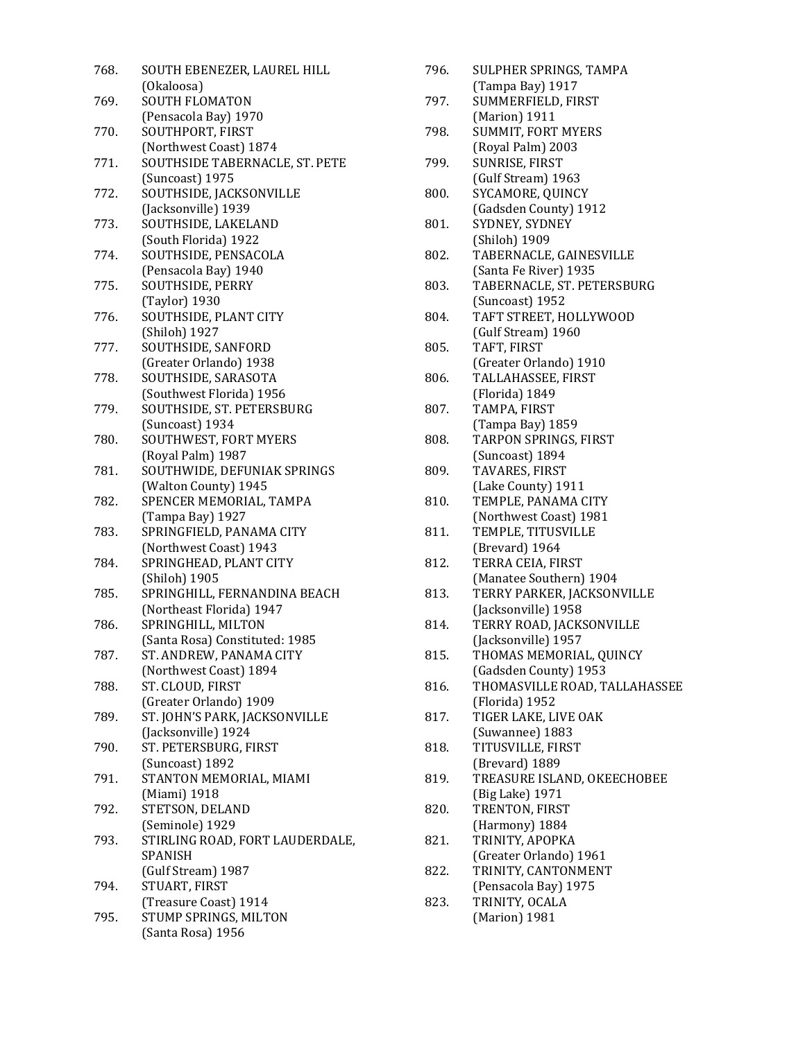| 768. | SOUTH EBENEZER, LAUREL HILL                           |
|------|-------------------------------------------------------|
|      | (Okaloosa)                                            |
| 769. | SOUTH FLOMATON                                        |
|      | (Pensacola Bay) 1970                                  |
| 770. | SOUTHPORT, FIRST                                      |
|      | (Northwest Coast) 1874                                |
| 771. | SOUTHSIDE TABERNACLE, ST. PETE                        |
|      | (Suncoast) 1975                                       |
| 772. | SOUTHSIDE, JACKSONVILLE                               |
|      | (Jacksonville) 1939                                   |
| 773. | SOUTHSIDE, LAKELAND                                   |
|      | (South Florida) 1922                                  |
| 774. | SOUTHSIDE, PENSACOLA                                  |
|      | (Pensacola Bay) 1940                                  |
| 775. | SOUTHSIDE, PERRY                                      |
|      | (Taylor) 1930                                         |
| 776. | SOUTHSIDE, PLANT CITY                                 |
|      | (Shiloh) 1927                                         |
| 777. | SOUTHSIDE, SANFORD                                    |
|      | (Greater Orlando) 1938                                |
| 778. | SOUTHSIDE, SARASOTA                                   |
|      | (Southwest Florida) 1956<br>SOUTHSIDE, ST. PETERSBURG |
| 779. |                                                       |
| 780. | (Suncoast) 1934<br>SOUTHWEST, FORT MYERS              |
|      | (Royal Palm) 1987                                     |
| 781. | SOUTHWIDE, DEFUNIAK SPRINGS                           |
|      | (Walton County) 1945                                  |
| 782. | SPENCER MEMORIAL, TAMPA                               |
|      | (Tampa Bay) 1927                                      |
| 783. | SPRINGFIELD, PANAMA CITY                              |
|      | (Northwest Coast) 1943                                |
| 784. | SPRINGHEAD, PLANT CITY                                |
|      | (Shiloh) 1905                                         |
| 785. | SPRINGHILL, FERNANDINA BEACH                          |
|      | (Northeast Florida) 1947                              |
| 786. | SPRINGHILL, MILTON                                    |
|      | (Santa Rosa) Constituted: 1985                        |
| 787. | ST. ANDREW, PANAMA CITY                               |
|      | (Northwest Coast) 1894                                |
| 788. | ST. CLOUD, FIRST                                      |
|      | (Greater Orlando) 1909                                |
| 789. | ST. JOHN'S PARK, JACKSONVILLE                         |
|      | (Jacksonville) 1924                                   |
| 790. | ST. PETERSBURG, FIRST                                 |
|      | (Suncoast) 1892                                       |
| 791. | STANTON MEMORIAL, MIAMI                               |
|      | (Miami) 1918                                          |
| 792. | STETSON, DELAND                                       |
|      | (Seminole) 1929                                       |
| 793. | STIRLING ROAD, FORT LAUDERDALE,                       |
|      | SPANISH                                               |
|      | (Gulf Stream) 1987                                    |
| 794. | STUART, FIRST                                         |
|      | (Treasure Coast) 1914                                 |
| 795. | STUMP SPRINGS, MILTON                                 |
|      | (Santa Rosa) 1956                                     |

| 796. | SULPHER SPRINGS, TAMPA                              |
|------|-----------------------------------------------------|
| 797. | (Tampa Bay) 1917<br>SUMMERFIELD, FIRST              |
|      | (Marion) 1911                                       |
| 798. | <b>SUMMIT, FORT MYERS</b>                           |
|      | (Royal Palm) 2003                                   |
| 799. | SUNRISE, FIRST                                      |
|      | (Gulf Stream) 1963                                  |
| 800. | SYCAMORE, QUINCY                                    |
|      | (Gadsden County) 1912                               |
| 801. | SYDNEY, SYDNEY                                      |
|      | (Shiloh) 1909                                       |
| 802. | TABERNACLE, GAINESVILLE                             |
| 803. | (Santa Fe River) 1935<br>TABERNACLE, ST. PETERSBURG |
|      | (Suncoast) 1952                                     |
| 804. | TAFT STREET, HOLLYWOOD                              |
|      | (Gulf Stream) 1960                                  |
| 805. | TAFT, FIRST                                         |
|      | (Greater Orlando) 1910                              |
| 806. | TALLAHASSEE, FIRST                                  |
|      | (Florida) 1849                                      |
| 807. | TAMPA, FIRST                                        |
|      | (Tampa Bay) 1859                                    |
| 808. | TARPON SPRINGS, FIRST                               |
|      | (Suncoast) 1894                                     |
| 809. | TAVARES, FIRST                                      |
|      | (Lake County) 1911                                  |
| 810. | TEMPLE, PANAMA CITY                                 |
|      | (Northwest Coast) 1981                              |
| 811. | TEMPLE, TITUSVILLE                                  |
|      | (Brevard) 1964                                      |
| 812. | TERRA CEIA, FIRST                                   |
|      | (Manatee Southern) 1904                             |
| 813. | TERRY PARKER, JACKSONVILLE                          |
|      | (Jacksonville) 1958                                 |
| 814. | TERRY ROAD, JACKSONVILLE                            |
|      | (Jacksonville) 1957                                 |
| 815. | THOMAS MEMORIAL, QUINCY<br>(Gadsden County) 1953    |
| 816. | THOMASVILLE ROAD, TALLAHASSEE                       |
|      | (Florida) 1952                                      |
| 817. | TIGER LAKE, LIVE OAK                                |
|      | (Suwannee) 1883                                     |
| 818. | TITUSVILLE, FIRST                                   |
|      | (Brevard) 1889                                      |
| 819. | TREASURE ISLAND, OKEECHOBEE                         |
|      | (Big Lake) 1971                                     |
| 820. | TRENTON, FIRST                                      |
|      | (Harmony) 1884                                      |
| 821. | TRINITY, APOPKA                                     |
|      | (Greater Orlando) 1961                              |
| 822. | TRINITY, CANTONMENT                                 |
|      | (Pensacola Bay) 1975                                |
| 823. | TRINITY, OCALA                                      |
|      | (Marion) 1981                                       |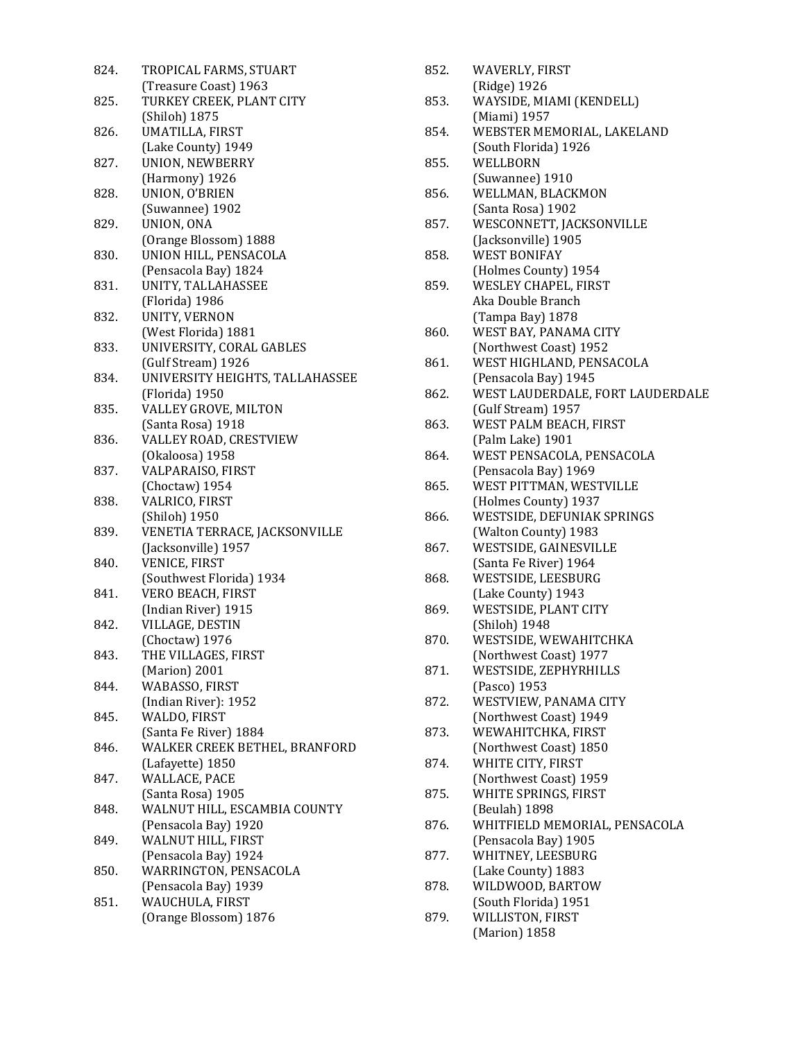| 824. | TROPICAL FARMS, STUART          |
|------|---------------------------------|
|      | (Treasure Coast) 1963           |
| 825. | TURKEY CREEK, PLANT CITY        |
|      | (Shiloh) 1875                   |
| 826. | UMATILLA, FIRST                 |
|      | (Lake County) 1949              |
| 827. | UNION, NEWBERRY                 |
|      | (Harmony) 1926                  |
| 828. | UNION, O'BRIEN                  |
|      | (Suwannee) 1902                 |
| 829. | UNION, ONA                      |
|      |                                 |
| 830. | (Orange Blossom) 1888           |
|      | UNION HILL, PENSACOLA           |
|      | (Pensacola Bay) 1824            |
| 831. | UNITY, TALLAHASSEE              |
|      | (Florida) 1986                  |
| 832. | UNITY, VERNON                   |
|      | (West Florida) 1881             |
| 833. | UNIVERSITY, CORAL GABLES        |
|      | (Gulf Stream) 1926              |
| 834. | UNIVERSITY HEIGHTS, TALLAHASSEE |
|      | (Florida) 1950                  |
| 835. | VALLEY GROVE, MILTON            |
|      | (Santa Rosa) 1918               |
| 836. | VALLEY ROAD, CRESTVIEW          |
|      | (Okaloosa) 1958                 |
| 837. | VALPARAISO, FIRST               |
|      | (Choctaw) 1954                  |
| 838. | VALRICO, FIRST                  |
|      | (Shiloh) 1950                   |
| 839. | VENETIA TERRACE, JACKSONVILLE   |
|      | (Jacksonville) 1957             |
| 840. | VENICE, FIRST                   |
|      | (Southwest Florida) 1934        |
| 841. | VERO BEACH, FIRST               |
|      | (Indian River) 1915             |
| 842. | VILLAGE, DESTIN                 |
|      | (Choctaw) 1976                  |
| 843. | THE VILLAGES, FIRST             |
|      | (Marion) 2001                   |
| 844. | WABASSO, FIRST                  |
|      | (Indian River): 1952            |
| 845. | WALDO, FIRST                    |
|      | (Santa Fe River) 1884           |
| 846. | WALKER CREEK BETHEL, BRANFORD   |
|      | (Lafayette) 1850                |
| 847. | WALLACE, PACE                   |
|      | (Santa Rosa) 1905               |
| 848. | WALNUT HILL, ESCAMBIA COUNTY    |
|      | (Pensacola Bay) 1920            |
| 849. | WALNUT HILL, FIRST              |
|      | (Pensacola Bay) 1924            |
| 850. | WARRINGTON, PENSACOLA           |
|      | (Pensacola Bay) 1939            |
| 851. | WAUCHULA, FIRST                 |
|      | (Orange Blossom) 1876           |
|      |                                 |

| 852. | WAVERLY, FIRST                                     |
|------|----------------------------------------------------|
| 853. | (Ridge) 1926<br>WAYSIDE, MIAMI (KENDELL)           |
|      | (Miami) 1957                                       |
| 854. | WEBSTER MEMORIAL, LAKELAND<br>(South Florida) 1926 |
| 855. | WELLBORN                                           |
|      | (Suwannee) 1910                                    |
| 856. | WELLMAN, BLACKMON                                  |
|      | (Santa Rosa) 1902                                  |
| 857. | WESCONNETT, JACKSONVILLE                           |
| 858. | (Jacksonville) 1905<br><b>WEST BONIFAY</b>         |
|      | (Holmes County) 1954                               |
| 859. | WESLEY CHAPEL, FIRST                               |
|      | Aka Double Branch                                  |
|      | (Tampa Bay) 1878                                   |
| 860. | WEST BAY, PANAMA CITY                              |
|      | (Northwest Coast) 1952                             |
| 861. | WEST HIGHLAND, PENSACOLA<br>(Pensacola Bay) 1945   |
| 862. | WEST LAUDERDALE, FORT LAUDERDALE                   |
|      | (Gulf Stream) 1957                                 |
| 863. | WEST PALM BEACH, FIRST                             |
|      | (Palm Lake) 1901                                   |
| 864. | WEST PENSACOLA, PENSACOLA                          |
|      | (Pensacola Bay) 1969                               |
| 865. | WEST PITTMAN, WESTVILLE<br>(Holmes County) 1937    |
| 866. | WESTSIDE, DEFUNIAK SPRINGS                         |
|      | (Walton County) 1983                               |
| 867. | WESTSIDE, GAINESVILLE                              |
|      | (Santa Fe River) 1964                              |
| 868. | WESTSIDE, LEESBURG                                 |
| 869. | (Lake County) 1943<br>WESTSIDE, PLANT CITY         |
|      | (Shiloh) 1948                                      |
| 870. | WESTSIDE, WEWAHITCHKA                              |
|      | (Northwest Coast) 1977                             |
| 871. | WESTSIDE, ZEPHYRHILLS                              |
|      | (Pasco) 1953                                       |
| 872. | WESTVIEW, PANAMA CITY                              |
| 873. | (Northwest Coast) 1949<br>WEWAHITCHKA, FIRST       |
|      | (Northwest Coast) 1850                             |
| 874. | WHITE CITY, FIRST                                  |
|      | (Northwest Coast) 1959                             |
| 875. | WHITE SPRINGS, FIRST                               |
|      | (Beulah) 1898                                      |
| 876. | WHITFIELD MEMORIAL, PENSACOLA                      |
| 877. | (Pensacola Bay) 1905<br>WHITNEY, LEESBURG          |
|      | (Lake County) 1883                                 |
| 878. | WILDWOOD, BARTOW                                   |
|      | (South Florida) 1951                               |
| 879. | WILLISTON, FIRST                                   |
|      | (Marion) 1858                                      |